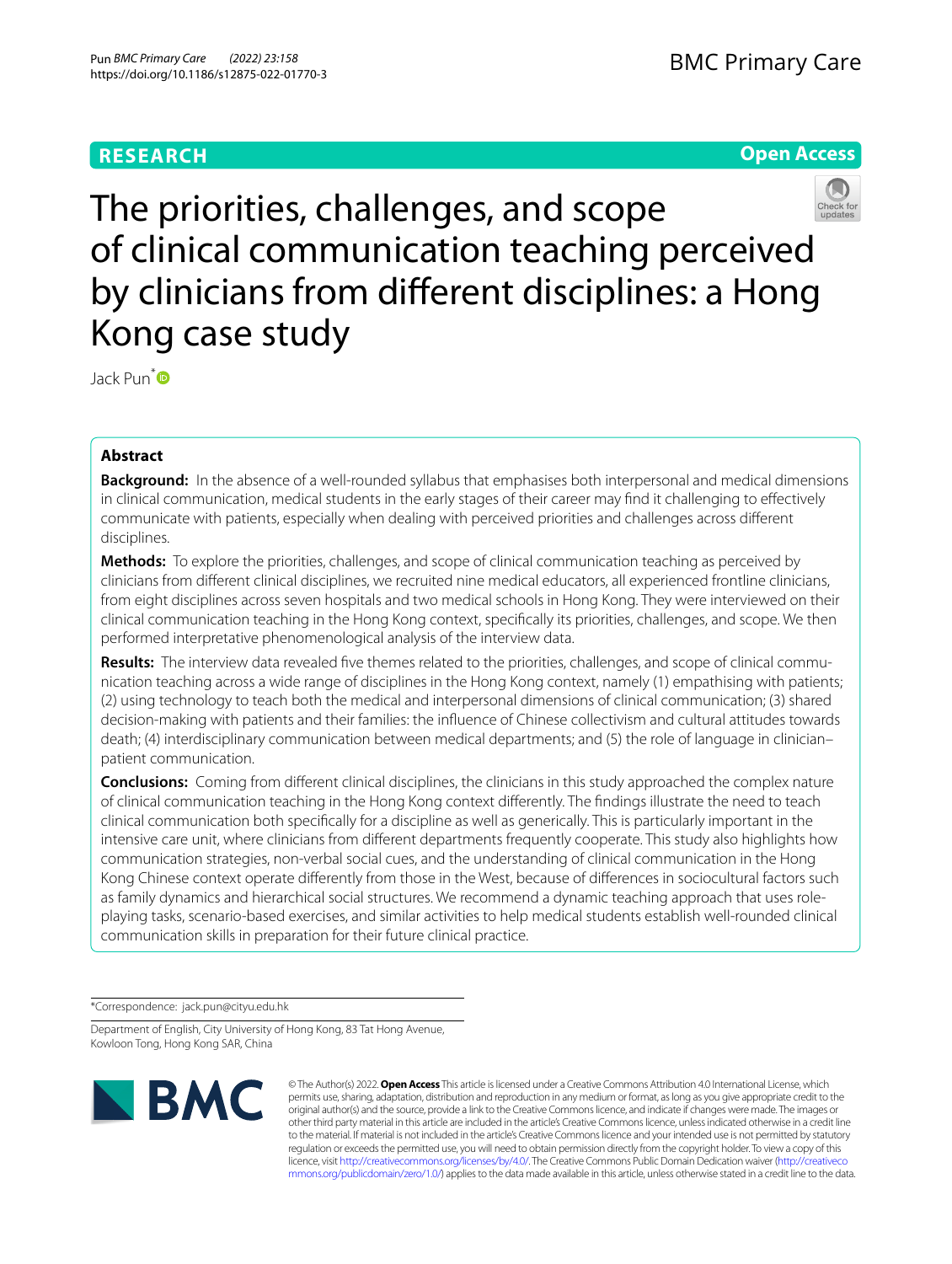# **RESEARCH**

# **Open Access**



The priorities, challenges, and scope of clinical communication teaching perceived by clinicians from diferent disciplines: a Hong Kong case study

Jack Pun[\\*](https://orcid.org/0000-0002-8043-7645) 

# **Abstract**

**Background:** In the absence of a well-rounded syllabus that emphasises both interpersonal and medical dimensions in clinical communication, medical students in the early stages of their career may fnd it challenging to efectively communicate with patients, especially when dealing with perceived priorities and challenges across diferent disciplines.

**Methods:** To explore the priorities, challenges, and scope of clinical communication teaching as perceived by clinicians from diferent clinical disciplines, we recruited nine medical educators, all experienced frontline clinicians, from eight disciplines across seven hospitals and two medical schools in Hong Kong. They were interviewed on their clinical communication teaching in the Hong Kong context, specifcally its priorities, challenges, and scope. We then performed interpretative phenomenological analysis of the interview data.

**Results:** The interview data revealed fve themes related to the priorities, challenges, and scope of clinical communication teaching across a wide range of disciplines in the Hong Kong context, namely (1) empathising with patients; (2) using technology to teach both the medical and interpersonal dimensions of clinical communication; (3) shared decision-making with patients and their families: the infuence of Chinese collectivism and cultural attitudes towards death; (4) interdisciplinary communication between medical departments; and (5) the role of language in clinician– patient communication.

**Conclusions:** Coming from diferent clinical disciplines, the clinicians in this study approached the complex nature of clinical communication teaching in the Hong Kong context diferently. The fndings illustrate the need to teach clinical communication both specifcally for a discipline as well as generically. This is particularly important in the intensive care unit, where clinicians from diferent departments frequently cooperate. This study also highlights how communication strategies, non-verbal social cues, and the understanding of clinical communication in the Hong Kong Chinese context operate diferently from those in the West, because of diferences in sociocultural factors such as family dynamics and hierarchical social structures. We recommend a dynamic teaching approach that uses roleplaying tasks, scenario-based exercises, and similar activities to help medical students establish well-rounded clinical communication skills in preparation for their future clinical practice.

\*Correspondence: jack.pun@cityu.edu.hk

Department of English, City University of Hong Kong, 83 Tat Hong Avenue, Kowloon Tong, Hong Kong SAR, China



© The Author(s) 2022. **Open Access** This article is licensed under a Creative Commons Attribution 4.0 International License, which permits use, sharing, adaptation, distribution and reproduction in any medium or format, as long as you give appropriate credit to the original author(s) and the source, provide a link to the Creative Commons licence, and indicate if changes were made. The images or other third party material in this article are included in the article's Creative Commons licence, unless indicated otherwise in a credit line to the material. If material is not included in the article's Creative Commons licence and your intended use is not permitted by statutory regulation or exceeds the permitted use, you will need to obtain permission directly from the copyright holder. To view a copy of this licence, visit [http://creativecommons.org/licenses/by/4.0/.](http://creativecommons.org/licenses/by/4.0/) The Creative Commons Public Domain Dedication waiver ([http://creativeco](http://creativecommons.org/publicdomain/zero/1.0/) [mmons.org/publicdomain/zero/1.0/](http://creativecommons.org/publicdomain/zero/1.0/)) applies to the data made available in this article, unless otherwise stated in a credit line to the data.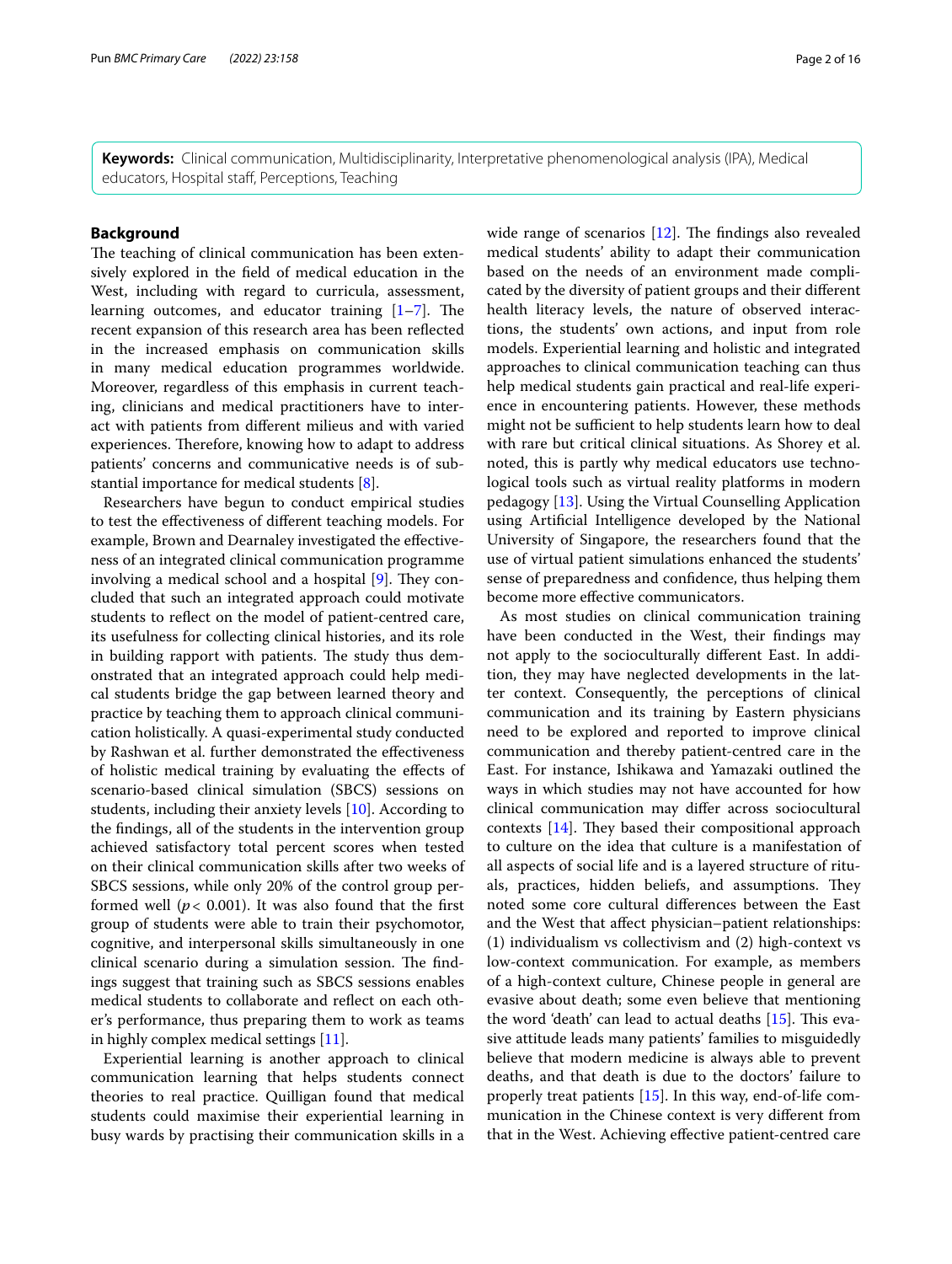**Keywords:** Clinical communication, Multidisciplinarity, Interpretative phenomenological analysis (IPA), Medical educators, Hospital staf, Perceptions, Teaching

# **Background**

The teaching of clinical communication has been extensively explored in the feld of medical education in the West, including with regard to curricula, assessment, learning outcomes, and educator training  $[1–7]$  $[1–7]$ . The recent expansion of this research area has been refected in the increased emphasis on communication skills in many medical education programmes worldwide. Moreover, regardless of this emphasis in current teaching, clinicians and medical practitioners have to interact with patients from diferent milieus and with varied experiences. Therefore, knowing how to adapt to address patients' concerns and communicative needs is of substantial importance for medical students [\[8](#page-14-1)].

Researchers have begun to conduct empirical studies to test the efectiveness of diferent teaching models. For example, Brown and Dearnaley investigated the efectiveness of an integrated clinical communication programme involving a medical school and a hospital  $[9]$  $[9]$ . They concluded that such an integrated approach could motivate students to refect on the model of patient-centred care, its usefulness for collecting clinical histories, and its role in building rapport with patients. The study thus demonstrated that an integrated approach could help medical students bridge the gap between learned theory and practice by teaching them to approach clinical communication holistically. A quasi-experimental study conducted by Rashwan et al. further demonstrated the efectiveness of holistic medical training by evaluating the efects of scenario-based clinical simulation (SBCS) sessions on students, including their anxiety levels [\[10](#page-14-3)]. According to the fndings, all of the students in the intervention group achieved satisfactory total percent scores when tested on their clinical communication skills after two weeks of SBCS sessions, while only 20% of the control group performed well ( $p < 0.001$ ). It was also found that the first group of students were able to train their psychomotor, cognitive, and interpersonal skills simultaneously in one clinical scenario during a simulation session. The findings suggest that training such as SBCS sessions enables medical students to collaborate and refect on each other's performance, thus preparing them to work as teams in highly complex medical settings [\[11\]](#page-14-4).

Experiential learning is another approach to clinical communication learning that helps students connect theories to real practice. Quilligan found that medical students could maximise their experiential learning in busy wards by practising their communication skills in a wide range of scenarios  $[12]$  $[12]$  $[12]$ . The findings also revealed medical students' ability to adapt their communication based on the needs of an environment made complicated by the diversity of patient groups and their diferent health literacy levels, the nature of observed interactions, the students' own actions, and input from role models. Experiential learning and holistic and integrated approaches to clinical communication teaching can thus help medical students gain practical and real-life experience in encountering patients. However, these methods might not be sufficient to help students learn how to deal with rare but critical clinical situations. As Shorey et al. noted, this is partly why medical educators use technological tools such as virtual reality platforms in modern pedagogy [\[13](#page-14-6)]. Using the Virtual Counselling Application using Artifcial Intelligence developed by the National University of Singapore, the researchers found that the use of virtual patient simulations enhanced the students' sense of preparedness and confdence, thus helping them become more efective communicators.

As most studies on clinical communication training have been conducted in the West, their fndings may not apply to the socioculturally diferent East. In addition, they may have neglected developments in the latter context. Consequently, the perceptions of clinical communication and its training by Eastern physicians need to be explored and reported to improve clinical communication and thereby patient-centred care in the East. For instance, Ishikawa and Yamazaki outlined the ways in which studies may not have accounted for how clinical communication may difer across sociocultural contexts  $[14]$  $[14]$ . They based their compositional approach to culture on the idea that culture is a manifestation of all aspects of social life and is a layered structure of rituals, practices, hidden beliefs, and assumptions. They noted some core cultural diferences between the East and the West that afect physician–patient relationships: (1) individualism vs collectivism and (2) high-context vs low-context communication. For example, as members of a high-context culture, Chinese people in general are evasive about death; some even believe that mentioning the word 'death' can lead to actual deaths  $[15]$  $[15]$  $[15]$ . This evasive attitude leads many patients' families to misguidedly believe that modern medicine is always able to prevent deaths, and that death is due to the doctors' failure to properly treat patients [\[15\]](#page-14-8). In this way, end-of-life communication in the Chinese context is very diferent from that in the West. Achieving efective patient-centred care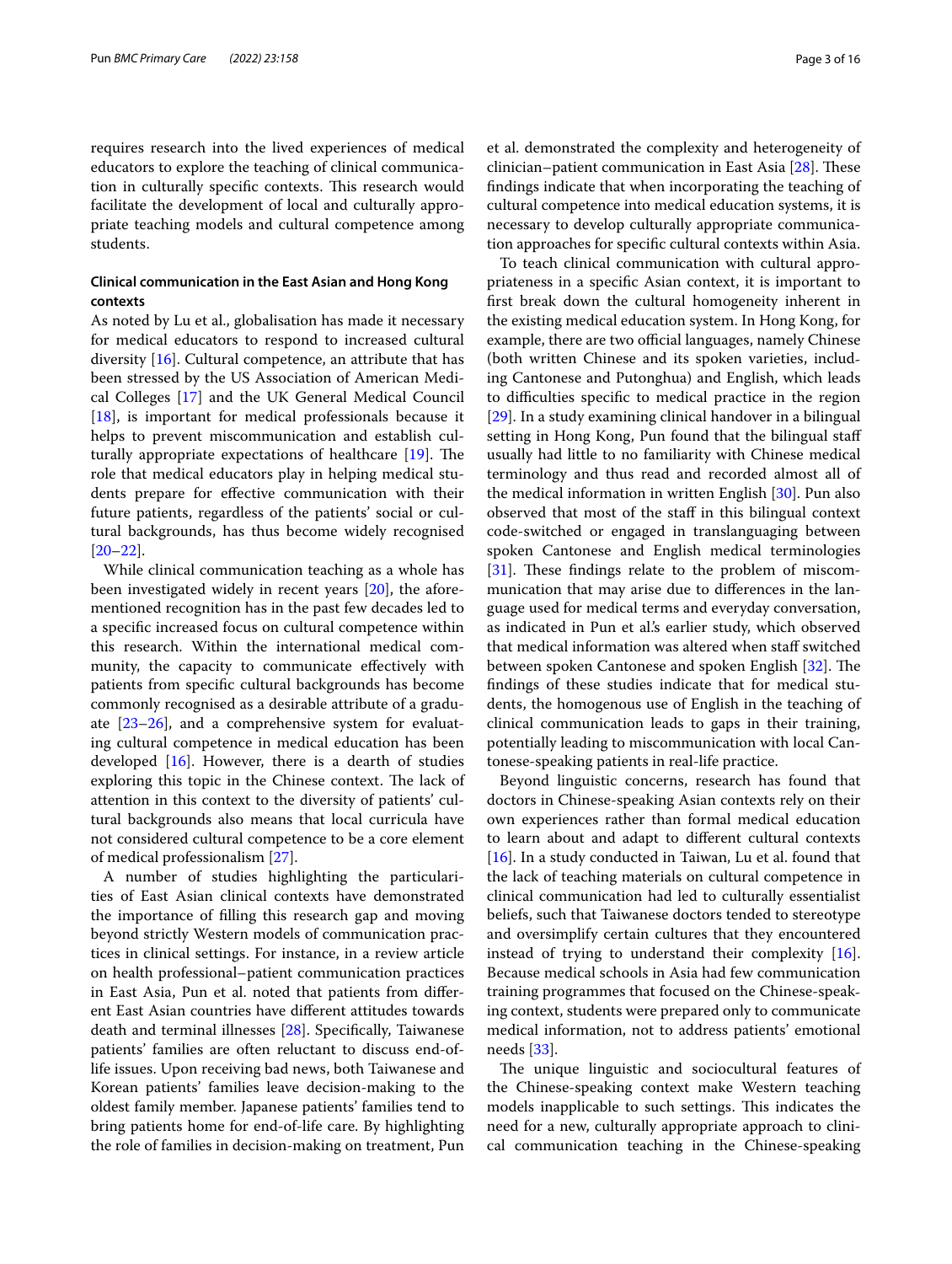requires research into the lived experiences of medical educators to explore the teaching of clinical communication in culturally specific contexts. This research would facilitate the development of local and culturally appropriate teaching models and cultural competence among students.

# **Clinical communication in the East Asian and Hong Kong contexts**

As noted by Lu et al., globalisation has made it necessary for medical educators to respond to increased cultural diversity [[16](#page-14-9)]. Cultural competence, an attribute that has been stressed by the US Association of American Medical Colleges [[17\]](#page-14-10) and the UK General Medical Council [[18\]](#page-14-11), is important for medical professionals because it helps to prevent miscommunication and establish culturally appropriate expectations of healthcare  $[19]$  $[19]$ . The role that medical educators play in helping medical students prepare for efective communication with their future patients, regardless of the patients' social or cultural backgrounds, has thus become widely recognised [[20–](#page-14-13)[22](#page-14-14)].

While clinical communication teaching as a whole has been investigated widely in recent years [[20\]](#page-14-13), the aforementioned recognition has in the past few decades led to a specifc increased focus on cultural competence within this research. Within the international medical community, the capacity to communicate efectively with patients from specifc cultural backgrounds has become commonly recognised as a desirable attribute of a graduate  $[23-26]$  $[23-26]$  $[23-26]$ , and a comprehensive system for evaluating cultural competence in medical education has been developed  $[16]$  $[16]$ . However, there is a dearth of studies exploring this topic in the Chinese context. The lack of attention in this context to the diversity of patients' cultural backgrounds also means that local curricula have not considered cultural competence to be a core element of medical professionalism [\[27](#page-14-17)].

A number of studies highlighting the particularities of East Asian clinical contexts have demonstrated the importance of flling this research gap and moving beyond strictly Western models of communication practices in clinical settings. For instance, in a review article on health professional–patient communication practices in East Asia, Pun et al. noted that patients from diferent East Asian countries have diferent attitudes towards death and terminal illnesses [[28\]](#page-14-18). Specifcally, Taiwanese patients' families are often reluctant to discuss end-oflife issues. Upon receiving bad news, both Taiwanese and Korean patients' families leave decision-making to the oldest family member. Japanese patients' families tend to bring patients home for end-of-life care. By highlighting the role of families in decision-making on treatment, Pun et al. demonstrated the complexity and heterogeneity of clinician–patient communication in East Asia  $[28]$  $[28]$ . These fndings indicate that when incorporating the teaching of cultural competence into medical education systems, it is necessary to develop culturally appropriate communication approaches for specifc cultural contexts within Asia.

To teach clinical communication with cultural appropriateness in a specifc Asian context, it is important to frst break down the cultural homogeneity inherent in the existing medical education system. In Hong Kong, for example, there are two official languages, namely Chinese (both written Chinese and its spoken varieties, including Cantonese and Putonghua) and English, which leads to difficulties specific to medical practice in the region [[29\]](#page-14-19). In a study examining clinical handover in a bilingual setting in Hong Kong, Pun found that the bilingual staf usually had little to no familiarity with Chinese medical terminology and thus read and recorded almost all of the medical information in written English [[30\]](#page-14-20). Pun also observed that most of the staf in this bilingual context code-switched or engaged in translanguaging between spoken Cantonese and English medical terminologies  $[31]$  $[31]$ . These findings relate to the problem of miscommunication that may arise due to diferences in the language used for medical terms and everyday conversation, as indicated in Pun et al.'s earlier study, which observed that medical information was altered when staf switched between spoken Cantonese and spoken English [\[32](#page-14-22)]. The fndings of these studies indicate that for medical students, the homogenous use of English in the teaching of clinical communication leads to gaps in their training, potentially leading to miscommunication with local Cantonese-speaking patients in real-life practice.

Beyond linguistic concerns, research has found that doctors in Chinese-speaking Asian contexts rely on their own experiences rather than formal medical education to learn about and adapt to diferent cultural contexts [[16\]](#page-14-9). In a study conducted in Taiwan, Lu et al. found that the lack of teaching materials on cultural competence in clinical communication had led to culturally essentialist beliefs, such that Taiwanese doctors tended to stereotype and oversimplify certain cultures that they encountered instead of trying to understand their complexity [\[16](#page-14-9)]. Because medical schools in Asia had few communication training programmes that focused on the Chinese-speaking context, students were prepared only to communicate medical information, not to address patients' emotional needs [[33\]](#page-14-23).

The unique linguistic and sociocultural features of the Chinese-speaking context make Western teaching models inapplicable to such settings. This indicates the need for a new, culturally appropriate approach to clinical communication teaching in the Chinese-speaking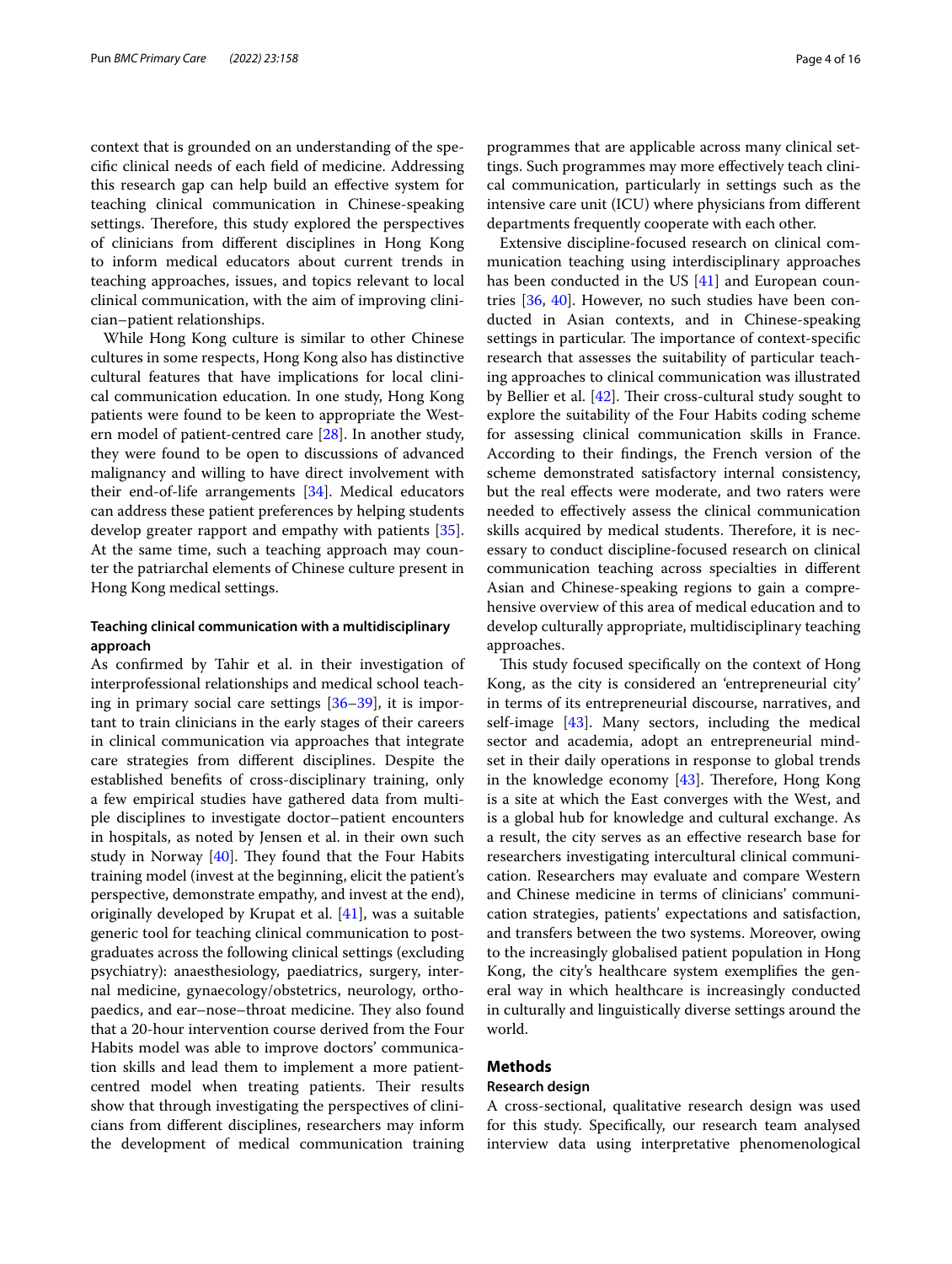context that is grounded on an understanding of the specifc clinical needs of each feld of medicine. Addressing this research gap can help build an efective system for teaching clinical communication in Chinese-speaking settings. Therefore, this study explored the perspectives of clinicians from diferent disciplines in Hong Kong to inform medical educators about current trends in teaching approaches, issues, and topics relevant to local clinical communication, with the aim of improving clinician–patient relationships.

While Hong Kong culture is similar to other Chinese cultures in some respects, Hong Kong also has distinctive cultural features that have implications for local clinical communication education. In one study, Hong Kong patients were found to be keen to appropriate the Western model of patient-centred care [\[28\]](#page-14-18). In another study, they were found to be open to discussions of advanced malignancy and willing to have direct involvement with their end-of-life arrangements [[34\]](#page-14-24). Medical educators can address these patient preferences by helping students develop greater rapport and empathy with patients [\[35](#page-14-25)]. At the same time, such a teaching approach may counter the patriarchal elements of Chinese culture present in Hong Kong medical settings.

# **Teaching clinical communication with a multidisciplinary approach**

As confrmed by Tahir et al. in their investigation of interprofessional relationships and medical school teaching in primary social care settings [[36](#page-14-26)[–39](#page-14-27)], it is important to train clinicians in the early stages of their careers in clinical communication via approaches that integrate care strategies from diferent disciplines. Despite the established benefts of cross-disciplinary training, only a few empirical studies have gathered data from multiple disciplines to investigate doctor–patient encounters in hospitals, as noted by Jensen et al. in their own such study in Norway  $[40]$  $[40]$ . They found that the Four Habits training model (invest at the beginning, elicit the patient's perspective, demonstrate empathy, and invest at the end), originally developed by Krupat et al. [\[41](#page-14-29)], was a suitable generic tool for teaching clinical communication to postgraduates across the following clinical settings (excluding psychiatry): anaesthesiology, paediatrics, surgery, internal medicine, gynaecology/obstetrics, neurology, orthopaedics, and ear–nose–throat medicine. They also found that a 20-hour intervention course derived from the Four Habits model was able to improve doctors' communication skills and lead them to implement a more patientcentred model when treating patients. Their results show that through investigating the perspectives of clinicians from diferent disciplines, researchers may inform the development of medical communication training programmes that are applicable across many clinical settings. Such programmes may more efectively teach clinical communication, particularly in settings such as the intensive care unit (ICU) where physicians from diferent departments frequently cooperate with each other.

Extensive discipline-focused research on clinical communication teaching using interdisciplinary approaches has been conducted in the US [\[41](#page-14-29)] and European countries [\[36](#page-14-26), [40\]](#page-14-28). However, no such studies have been conducted in Asian contexts, and in Chinese-speaking settings in particular. The importance of context-specific research that assesses the suitability of particular teaching approaches to clinical communication was illustrated by Bellier et al.  $[42]$  $[42]$  $[42]$ . Their cross-cultural study sought to explore the suitability of the Four Habits coding scheme for assessing clinical communication skills in France. According to their fndings, the French version of the scheme demonstrated satisfactory internal consistency, but the real efects were moderate, and two raters were needed to efectively assess the clinical communication skills acquired by medical students. Therefore, it is necessary to conduct discipline-focused research on clinical communication teaching across specialties in diferent Asian and Chinese-speaking regions to gain a comprehensive overview of this area of medical education and to develop culturally appropriate, multidisciplinary teaching approaches.

This study focused specifically on the context of Hong Kong, as the city is considered an 'entrepreneurial city' in terms of its entrepreneurial discourse, narratives, and self-image [[43](#page-14-31)]. Many sectors, including the medical sector and academia, adopt an entrepreneurial mindset in their daily operations in response to global trends in the knowledge economy  $[43]$  $[43]$ . Therefore, Hong Kong is a site at which the East converges with the West, and is a global hub for knowledge and cultural exchange. As a result, the city serves as an efective research base for researchers investigating intercultural clinical communication. Researchers may evaluate and compare Western and Chinese medicine in terms of clinicians' communication strategies, patients' expectations and satisfaction, and transfers between the two systems. Moreover, owing to the increasingly globalised patient population in Hong Kong, the city's healthcare system exemplifes the general way in which healthcare is increasingly conducted in culturally and linguistically diverse settings around the world.

# **Methods**

### **Research design**

A cross-sectional, qualitative research design was used for this study. Specifcally, our research team analysed interview data using interpretative phenomenological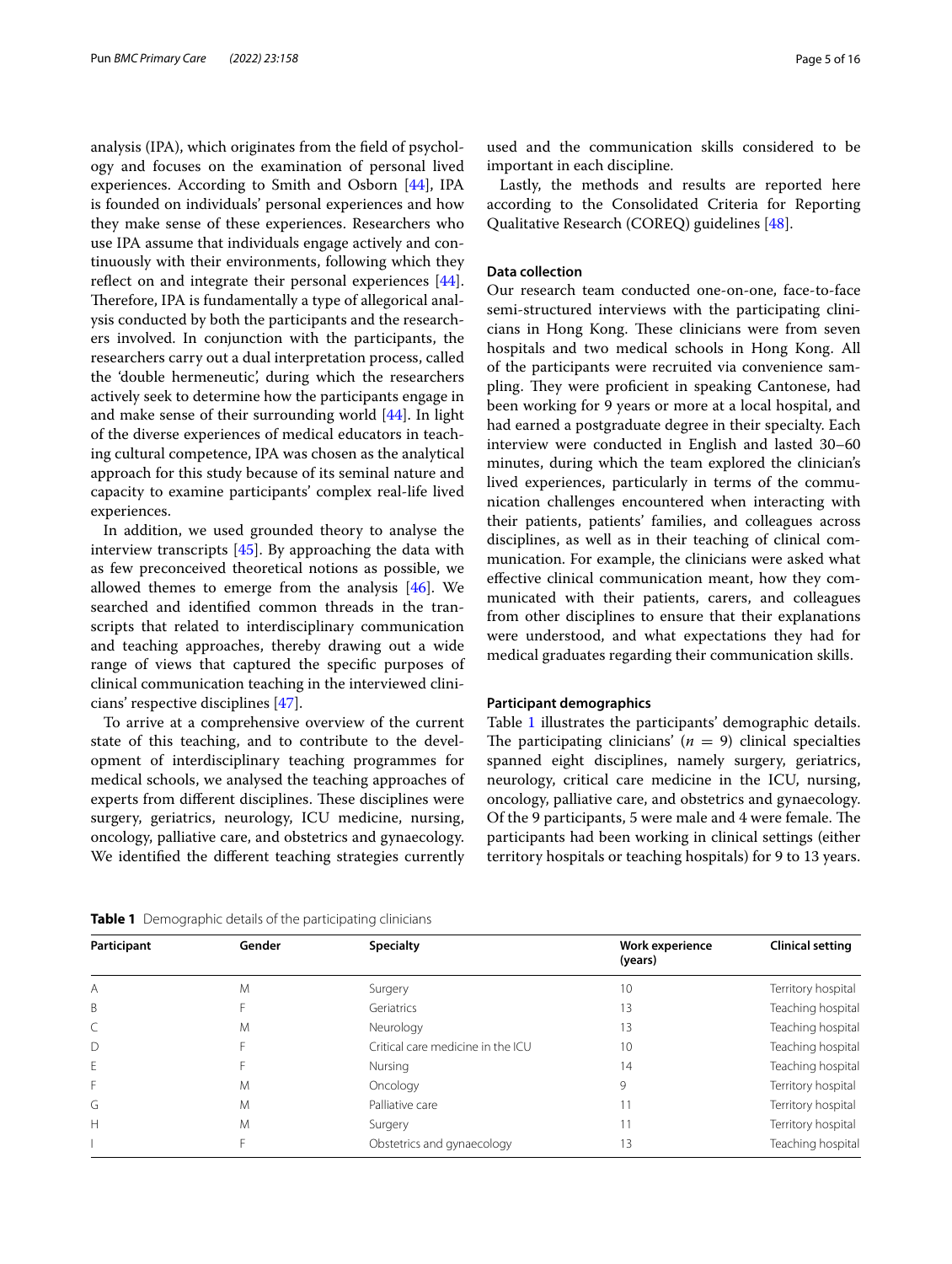analysis (IPA), which originates from the feld of psychology and focuses on the examination of personal lived experiences. According to Smith and Osborn [\[44\]](#page-14-32), IPA is founded on individuals' personal experiences and how they make sense of these experiences. Researchers who use IPA assume that individuals engage actively and continuously with their environments, following which they reflect on and integrate their personal experiences [\[44](#page-14-32)]. Therefore, IPA is fundamentally a type of allegorical analysis conducted by both the participants and the researchers involved. In conjunction with the participants, the researchers carry out a dual interpretation process, called the 'double hermeneutic', during which the researchers actively seek to determine how the participants engage in and make sense of their surrounding world [[44\]](#page-14-32). In light of the diverse experiences of medical educators in teaching cultural competence, IPA was chosen as the analytical approach for this study because of its seminal nature and capacity to examine participants' complex real-life lived experiences.

In addition, we used grounded theory to analyse the interview transcripts [\[45\]](#page-14-33). By approaching the data with as few preconceived theoretical notions as possible, we allowed themes to emerge from the analysis  $[46]$  $[46]$ . We searched and identifed common threads in the transcripts that related to interdisciplinary communication and teaching approaches, thereby drawing out a wide range of views that captured the specifc purposes of clinical communication teaching in the interviewed clinicians' respective disciplines [\[47](#page-14-35)].

To arrive at a comprehensive overview of the current state of this teaching, and to contribute to the development of interdisciplinary teaching programmes for medical schools, we analysed the teaching approaches of experts from different disciplines. These disciplines were surgery, geriatrics, neurology, ICU medicine, nursing, oncology, palliative care, and obstetrics and gynaecology. We identifed the diferent teaching strategies currently

used and the communication skills considered to be important in each discipline.

Lastly, the methods and results are reported here according to the Consolidated Criteria for Reporting Qualitative Research (COREQ) guidelines [\[48](#page-14-36)].

## **Data collection**

Our research team conducted one-on-one, face-to-face semi-structured interviews with the participating clinicians in Hong Kong. These clinicians were from seven hospitals and two medical schools in Hong Kong. All of the participants were recruited via convenience sampling. They were proficient in speaking Cantonese, had been working for 9 years or more at a local hospital, and had earned a postgraduate degree in their specialty. Each interview were conducted in English and lasted 30–60 minutes, during which the team explored the clinician's lived experiences, particularly in terms of the communication challenges encountered when interacting with their patients, patients' families, and colleagues across disciplines, as well as in their teaching of clinical communication. For example, the clinicians were asked what efective clinical communication meant, how they communicated with their patients, carers, and colleagues from other disciplines to ensure that their explanations were understood, and what expectations they had for medical graduates regarding their communication skills.

#### **Participant demographics**

Table [1](#page-4-0) illustrates the participants' demographic details. The participating clinicians'  $(n = 9)$  clinical specialties spanned eight disciplines, namely surgery, geriatrics, neurology, critical care medicine in the ICU, nursing, oncology, palliative care, and obstetrics and gynaecology. Of the 9 participants, 5 were male and 4 were female. The participants had been working in clinical settings (either territory hospitals or teaching hospitals) for 9 to 13 years.

**Participant Gender Specialty Gender Specialty Work experience (years) Clinical setting** A Surgery 10 10 Territory hospital M Surgery 3 and the Surgery 10 Territory hospital B Teaching hospital Contract Contract Contract Contract Contract Contract Contract Contract Contract Contract Contract Contract Contract Contract Contract Contract Contract Contract Contract Contract Contract Contract Cont C M Neurology 13 Teaching hospital D F Gritical care medicine in the ICU 10 Teaching hospital Teaching hospital E The South of the Mursing 14 Teaching hospital 14 Teaching hospital F M Oncology 9 9 Territory hospital G 11 Territory hospital M Palliative care 11 1 Territory hospital H M Surgery Surgery 11 Territory hospital **In the Contract Contract Contract Contract Contract Contract Contract Contract Contract Contract Contract Contract Contract Contract Contract Contract Contract Contract Contract Contract Contract Contract Contract Contrac** 

<span id="page-4-0"></span>**Table 1** Demographic details of the participating clinicians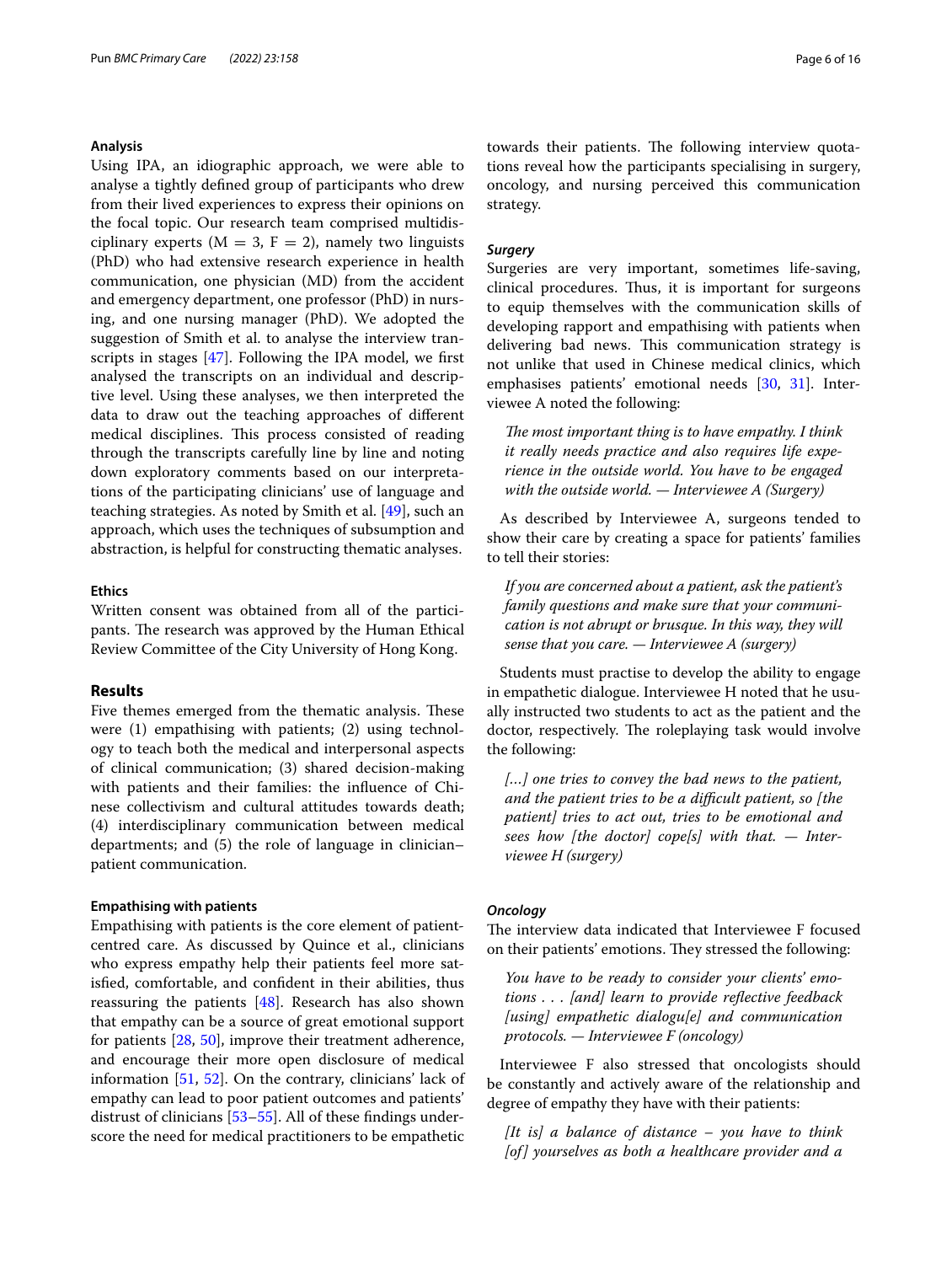## **Analysis**

Using IPA, an idiographic approach, we were able to analyse a tightly defned group of participants who drew from their lived experiences to express their opinions on the focal topic. Our research team comprised multidisciplinary experts ( $M = 3$ ,  $F = 2$ ), namely two linguists (PhD) who had extensive research experience in health communication, one physician (MD) from the accident and emergency department, one professor (PhD) in nursing, and one nursing manager (PhD). We adopted the suggestion of Smith et al. to analyse the interview transcripts in stages [\[47](#page-14-35)]. Following the IPA model, we frst analysed the transcripts on an individual and descriptive level. Using these analyses, we then interpreted the data to draw out the teaching approaches of diferent medical disciplines. This process consisted of reading through the transcripts carefully line by line and noting down exploratory comments based on our interpretations of the participating clinicians' use of language and teaching strategies. As noted by Smith et al. [\[49](#page-15-0)], such an approach, which uses the techniques of subsumption and abstraction, is helpful for constructing thematic analyses.

### **Ethics**

Written consent was obtained from all of the participants. The research was approved by the Human Ethical Review Committee of the City University of Hong Kong.

## <span id="page-5-0"></span>**Results**

Five themes emerged from the thematic analysis. These were (1) empathising with patients; (2) using technology to teach both the medical and interpersonal aspects of clinical communication; (3) shared decision-making with patients and their families: the infuence of Chinese collectivism and cultural attitudes towards death; (4) interdisciplinary communication between medical departments; and (5) the role of language in clinician– patient communication.

### **Empathising with patients**

Empathising with patients is the core element of patientcentred care. As discussed by Quince et al., clinicians who express empathy help their patients feel more satisfed, comfortable, and confdent in their abilities, thus reassuring the patients [\[48](#page-14-36)]. Research has also shown that empathy can be a source of great emotional support for patients [\[28](#page-14-18), [50](#page-15-1)], improve their treatment adherence, and encourage their more open disclosure of medical information [\[51](#page-15-2), [52](#page-15-3)]. On the contrary, clinicians' lack of empathy can lead to poor patient outcomes and patients' distrust of clinicians [\[53](#page-15-4)–[55\]](#page-15-5). All of these fndings underscore the need for medical practitioners to be empathetic

towards their patients. The following interview quotations reveal how the participants specialising in surgery, oncology, and nursing perceived this communication strategy.

### *Surgery*

Surgeries are very important, sometimes life-saving, clinical procedures. Thus, it is important for surgeons to equip themselves with the communication skills of developing rapport and empathising with patients when delivering bad news. This communication strategy is not unlike that used in Chinese medical clinics, which emphasises patients' emotional needs [[30](#page-14-20), [31](#page-14-21)]. Interviewee A noted the following:

*The most important thing is to have empathy. I think it really needs practice and also requires life experience in the outside world. You have to be engaged with the outside world. — Interviewee A (Surgery)*

As described by Interviewee A, surgeons tended to show their care by creating a space for patients' families to tell their stories:

*If you are concerned about a patient, ask the patient's family questions and make sure that your communication is not abrupt or brusque. In this way, they will sense that you care. — Interviewee A (surgery)*

Students must practise to develop the ability to engage in empathetic dialogue. Interviewee H noted that he usually instructed two students to act as the patient and the doctor, respectively. The roleplaying task would involve the following:

*[…] one tries to convey the bad news to the patient, and the patient tries to be a difcult patient, so [the patient] tries to act out, tries to be emotional and sees how [the doctor] cope[s] with that. — Interviewee H (surgery)*

#### *Oncology*

The interview data indicated that Interviewee F focused on their patients' emotions. They stressed the following:

*You have to be ready to consider your clients' emotions . . . [and] learn to provide refective feedback [using] empathetic dialogu[e] and communication protocols. — Interviewee F (oncology)*

Interviewee F also stressed that oncologists should be constantly and actively aware of the relationship and degree of empathy they have with their patients:

*[It is] a balance of distance – you have to think [of] yourselves as both a healthcare provider and a*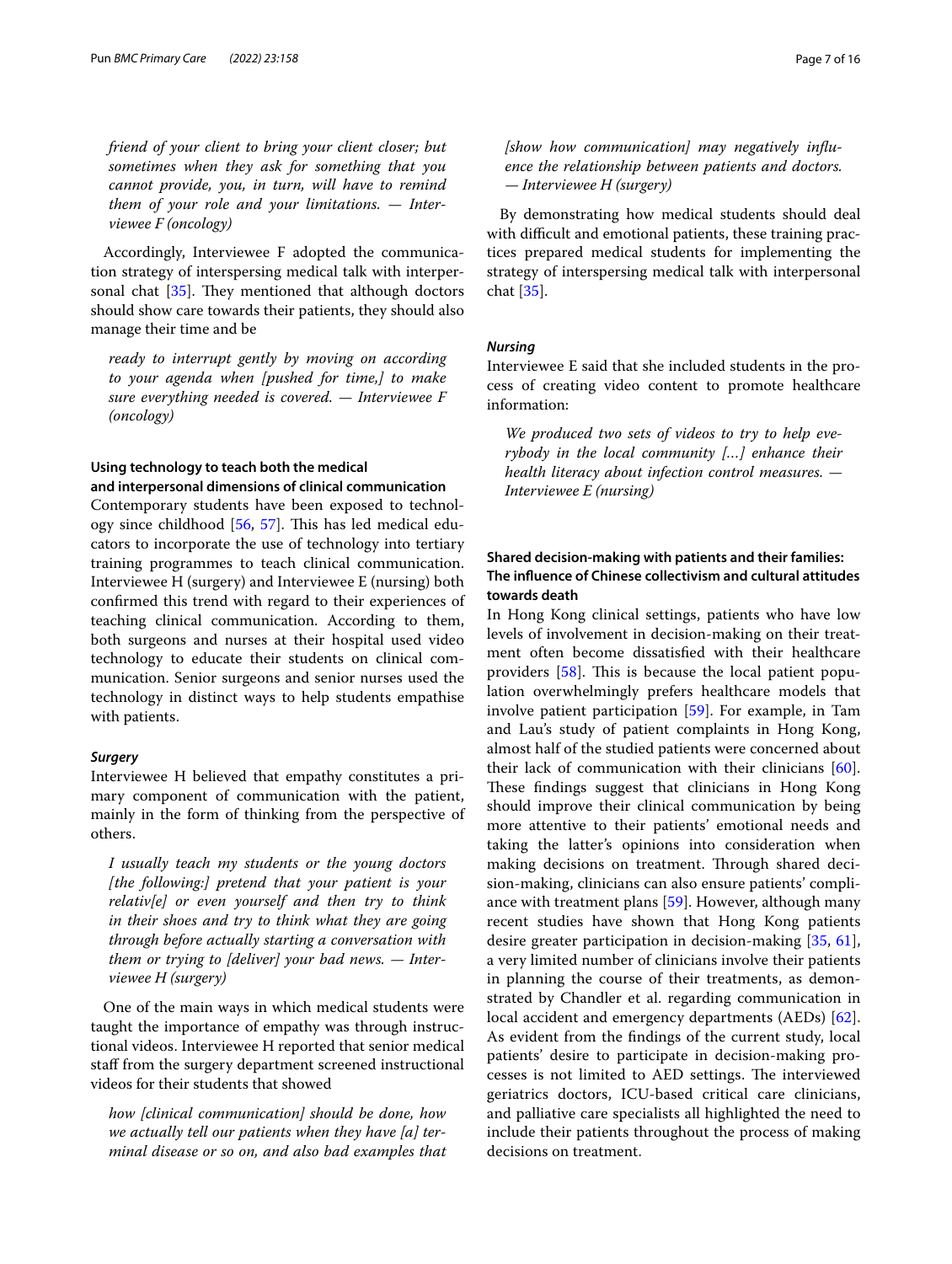*friend of your client to bring your client closer; but sometimes when they ask for something that you cannot provide, you, in turn, will have to remind them of your role and your limitations. — Interviewee F (oncology)*

Accordingly, Interviewee F adopted the communication strategy of interspersing medical talk with interpersonal chat  $[35]$  $[35]$ . They mentioned that although doctors should show care towards their patients, they should also manage their time and be

*ready to interrupt gently by moving on according to your agenda when [pushed for time,] to make sure everything needed is covered. — Interviewee F (oncology)*

# **Using technology to teach both the medical and interpersonal dimensions of clinical communication**

Contemporary students have been exposed to technol-ogy since childhood [\[56](#page-15-6), [57\]](#page-15-7). This has led medical educators to incorporate the use of technology into tertiary training programmes to teach clinical communication. Interviewee H (surgery) and Interviewee E (nursing) both confrmed this trend with regard to their experiences of teaching clinical communication. According to them, both surgeons and nurses at their hospital used video technology to educate their students on clinical communication. Senior surgeons and senior nurses used the technology in distinct ways to help students empathise with patients.

### *Surgery*

Interviewee H believed that empathy constitutes a primary component of communication with the patient, mainly in the form of thinking from the perspective of others.

*I usually teach my students or the young doctors [the following:] pretend that your patient is your relativ[e] or even yourself and then try to think in their shoes and try to think what they are going through before actually starting a conversation with them or trying to [deliver] your bad news. — Interviewee H (surgery)*

One of the main ways in which medical students were taught the importance of empathy was through instructional videos. Interviewee H reported that senior medical staf from the surgery department screened instructional videos for their students that showed

*how [clinical communication] should be done, how we actually tell our patients when they have [a] terminal disease or so on, and also bad examples that*  *[show how communication] may negatively infuence the relationship between patients and doctors. — Interviewee H (surgery)*

By demonstrating how medical students should deal with difficult and emotional patients, these training practices prepared medical students for implementing the strategy of interspersing medical talk with interpersonal chat [[35](#page-14-25)].

### *Nursing*

Interviewee E said that she included students in the process of creating video content to promote healthcare information:

*We produced two sets of videos to try to help everybody in the local community […] enhance their health literacy about infection control measures. — Interviewee E (nursing)*

# **Shared decision‑making with patients and their families: The infuence of Chinese collectivism and cultural attitudes towards death**

In Hong Kong clinical settings, patients who have low levels of involvement in decision-making on their treatment often become dissatisfed with their healthcare providers  $[58]$  $[58]$ . This is because the local patient population overwhelmingly prefers healthcare models that involve patient participation [\[59](#page-15-9)]. For example, in Tam and Lau's study of patient complaints in Hong Kong, almost half of the studied patients were concerned about their lack of communication with their clinicians [\[60](#page-15-10)]. These findings suggest that clinicians in Hong Kong should improve their clinical communication by being more attentive to their patients' emotional needs and taking the latter's opinions into consideration when making decisions on treatment. Through shared decision-making, clinicians can also ensure patients' compliance with treatment plans [[59\]](#page-15-9). However, although many recent studies have shown that Hong Kong patients desire greater participation in decision-making [[35,](#page-14-25) [61](#page-15-11)], a very limited number of clinicians involve their patients in planning the course of their treatments, as demonstrated by Chandler et al. regarding communication in local accident and emergency departments (AEDs) [\[62](#page-15-12)]. As evident from the fndings of the current study, local patients' desire to participate in decision-making processes is not limited to AED settings. The interviewed geriatrics doctors, ICU-based critical care clinicians, and palliative care specialists all highlighted the need to include their patients throughout the process of making decisions on treatment.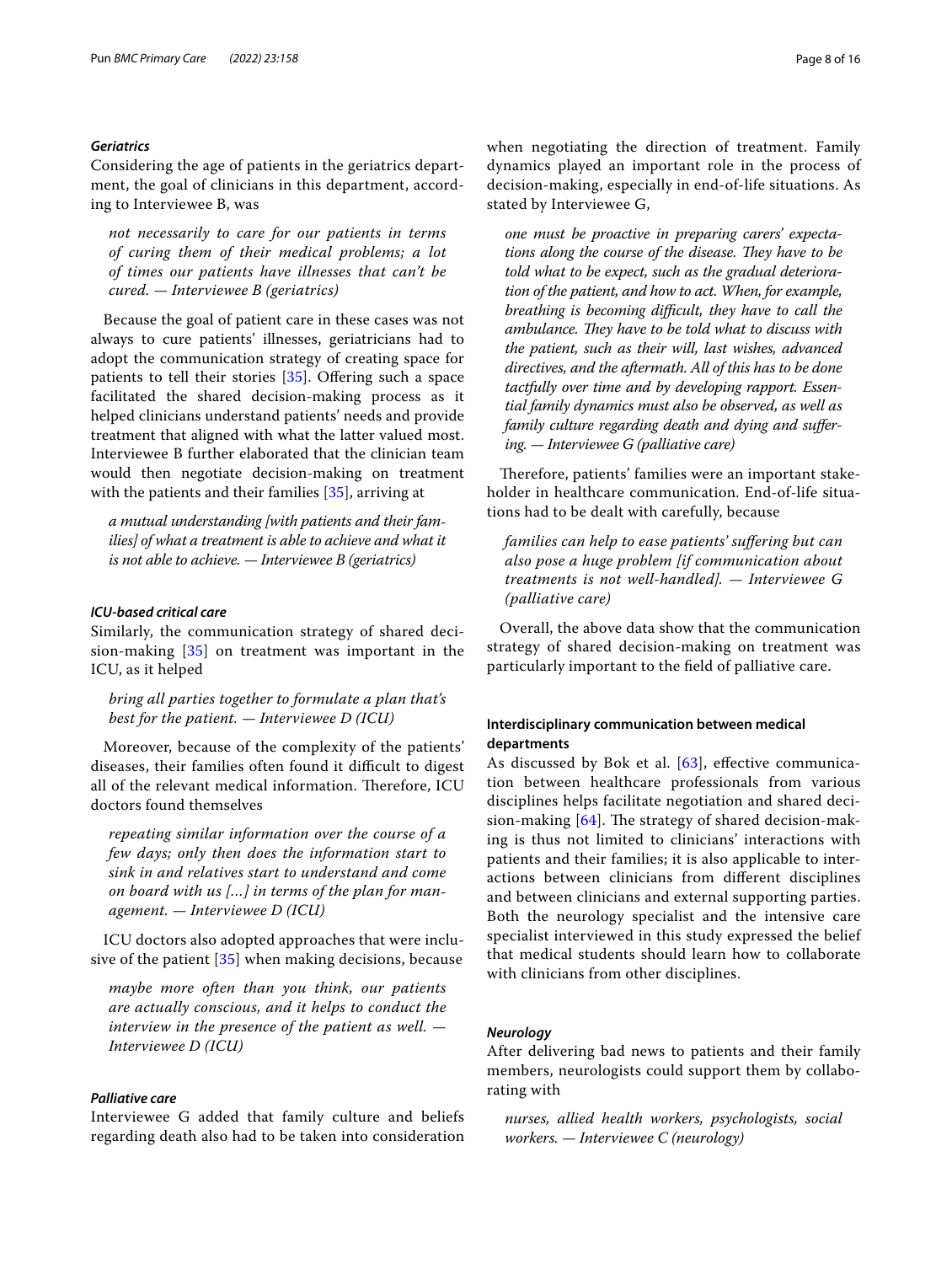### *Geriatrics*

Considering the age of patients in the geriatrics department, the goal of clinicians in this department, according to Interviewee B, was

*not necessarily to care for our patients in terms of curing them of their medical problems; a lot of times our patients have illnesses that can't be cured. — Interviewee B (geriatrics)*

Because the goal of patient care in these cases was not always to cure patients' illnesses, geriatricians had to adopt the communication strategy of creating space for patients to tell their stories  $[35]$  $[35]$ . Offering such a space facilitated the shared decision-making process as it helped clinicians understand patients' needs and provide treatment that aligned with what the latter valued most. Interviewee B further elaborated that the clinician team would then negotiate decision-making on treatment with the patients and their families [[35](#page-14-25)], arriving at

*a mutual understanding [with patients and their families] of what a treatment is able to achieve and what it is not able to achieve. — Interviewee B (geriatrics)*

## *ICU‑based critical care*

Similarly, the communication strategy of shared decision-making [[35](#page-14-25)] on treatment was important in the ICU, as it helped

*bring all parties together to formulate a plan that's best for the patient. — Interviewee D (ICU)*

Moreover, because of the complexity of the patients' diseases, their families often found it difficult to digest all of the relevant medical information. Therefore, ICU doctors found themselves

*repeating similar information over the course of a few days; only then does the information start to sink in and relatives start to understand and come on board with us […] in terms of the plan for management. — Interviewee D (ICU)*

ICU doctors also adopted approaches that were inclusive of the patient [\[35](#page-14-25)] when making decisions, because

*maybe more often than you think, our patients are actually conscious, and it helps to conduct the interview in the presence of the patient as well. — Interviewee D (ICU)*

# *Palliative care*

Interviewee G added that family culture and beliefs regarding death also had to be taken into consideration when negotiating the direction of treatment. Family dynamics played an important role in the process of decision-making, especially in end-of-life situations. As stated by Interviewee G,

*one must be proactive in preparing carers' expecta*tions along the course of the disease. They have to be *told what to be expect, such as the gradual deterioration of the patient, and how to act. When, for example, breathing is becoming difcult, they have to call the*  ambulance. They have to be told what to discuss with *the patient, such as their will, last wishes, advanced directives, and the aftermath. All of this has to be done tactfully over time and by developing rapport. Essential family dynamics must also be observed, as well as family culture regarding death and dying and sufering. — Interviewee G (palliative care)*

Therefore, patients' families were an important stakeholder in healthcare communication. End-of-life situations had to be dealt with carefully, because

*families can help to ease patients' sufering but can also pose a huge problem [if communication about treatments is not well-handled]. — Interviewee G (palliative care)*

Overall, the above data show that the communication strategy of shared decision-making on treatment was particularly important to the feld of palliative care.

# **Interdisciplinary communication between medical departments**

As discussed by Bok et al. [[63\]](#page-15-13), effective communication between healthcare professionals from various disciplines helps facilitate negotiation and shared decision-making  $[64]$  $[64]$ . The strategy of shared decision-making is thus not limited to clinicians' interactions with patients and their families; it is also applicable to interactions between clinicians from diferent disciplines and between clinicians and external supporting parties. Both the neurology specialist and the intensive care specialist interviewed in this study expressed the belief that medical students should learn how to collaborate with clinicians from other disciplines.

## *Neurology*

After delivering bad news to patients and their family members, neurologists could support them by collaborating with

*nurses, allied health workers, psychologists, social workers. — Interviewee C (neurology)*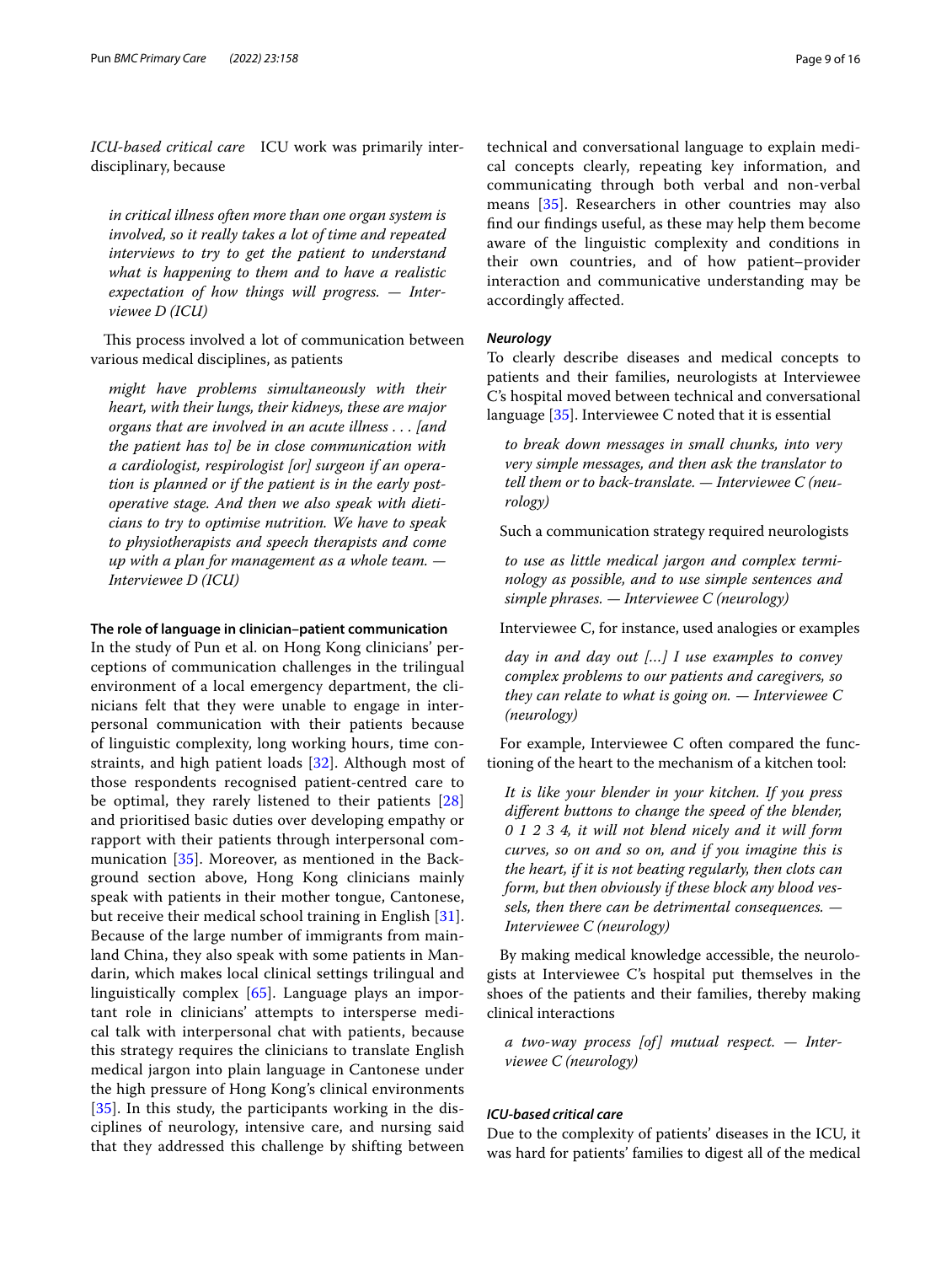*ICU-based critical care* ICU work was primarily interdisciplinary, because

*in critical illness often more than one organ system is involved, so it really takes a lot of time and repeated interviews to try to get the patient to understand what is happening to them and to have a realistic expectation of how things will progress. — Interviewee D (ICU)*

This process involved a lot of communication between various medical disciplines, as patients

*might have problems simultaneously with their heart, with their lungs, their kidneys, these are major organs that are involved in an acute illness . . . [and the patient has to] be in close communication with a cardiologist, respirologist [or] surgeon if an operation is planned or if the patient is in the early postoperative stage. And then we also speak with dieticians to try to optimise nutrition. We have to speak to physiotherapists and speech therapists and come up with a plan for management as a whole team. — Interviewee D (ICU)*

#### **The role of language in clinician–patient communication**

In the study of Pun et al. on Hong Kong clinicians' perceptions of communication challenges in the trilingual environment of a local emergency department, the clinicians felt that they were unable to engage in interpersonal communication with their patients because of linguistic complexity, long working hours, time constraints, and high patient loads [[32](#page-14-22)]. Although most of those respondents recognised patient-centred care to be optimal, they rarely listened to their patients [\[28](#page-14-18)] and prioritised basic duties over developing empathy or rapport with their patients through interpersonal communication [\[35\]](#page-14-25). Moreover, as mentioned in the Background section above, Hong Kong clinicians mainly speak with patients in their mother tongue, Cantonese, but receive their medical school training in English [[31](#page-14-21)]. Because of the large number of immigrants from mainland China, they also speak with some patients in Mandarin, which makes local clinical settings trilingual and linguistically complex [\[65](#page-15-15)]. Language plays an important role in clinicians' attempts to intersperse medical talk with interpersonal chat with patients, because this strategy requires the clinicians to translate English medical jargon into plain language in Cantonese under the high pressure of Hong Kong's clinical environments [[35](#page-14-25)]. In this study, the participants working in the disciplines of neurology, intensive care, and nursing said that they addressed this challenge by shifting between technical and conversational language to explain medical concepts clearly, repeating key information, and communicating through both verbal and non-verbal means [[35\]](#page-14-25). Researchers in other countries may also fnd our fndings useful, as these may help them become aware of the linguistic complexity and conditions in their own countries, and of how patient–provider interaction and communicative understanding may be accordingly afected.

## *Neurology*

To clearly describe diseases and medical concepts to patients and their families, neurologists at Interviewee C's hospital moved between technical and conversational language [[35](#page-14-25)]. Interviewee C noted that it is essential

*to break down messages in small chunks, into very very simple messages, and then ask the translator to tell them or to back-translate. — Interviewee C (neurology)*

Such a communication strategy required neurologists

*to use as little medical jargon and complex terminology as possible, and to use simple sentences and simple phrases. — Interviewee C (neurology)*

Interviewee C, for instance, used analogies or examples

*day in and day out […] I use examples to convey complex problems to our patients and caregivers, so they can relate to what is going on. — Interviewee C (neurology)*

For example, Interviewee C often compared the functioning of the heart to the mechanism of a kitchen tool:

*It is like your blender in your kitchen. If you press diferent buttons to change the speed of the blender, 0 1 2 3 4, it will not blend nicely and it will form curves, so on and so on, and if you imagine this is the heart, if it is not beating regularly, then clots can form, but then obviously if these block any blood vessels, then there can be detrimental consequences. — Interviewee C (neurology)*

By making medical knowledge accessible, the neurologists at Interviewee C's hospital put themselves in the shoes of the patients and their families, thereby making clinical interactions

*a two-way process [of] mutual respect. — Interviewee C (neurology)*

# *ICU‑based critical care*

Due to the complexity of patients' diseases in the ICU, it was hard for patients' families to digest all of the medical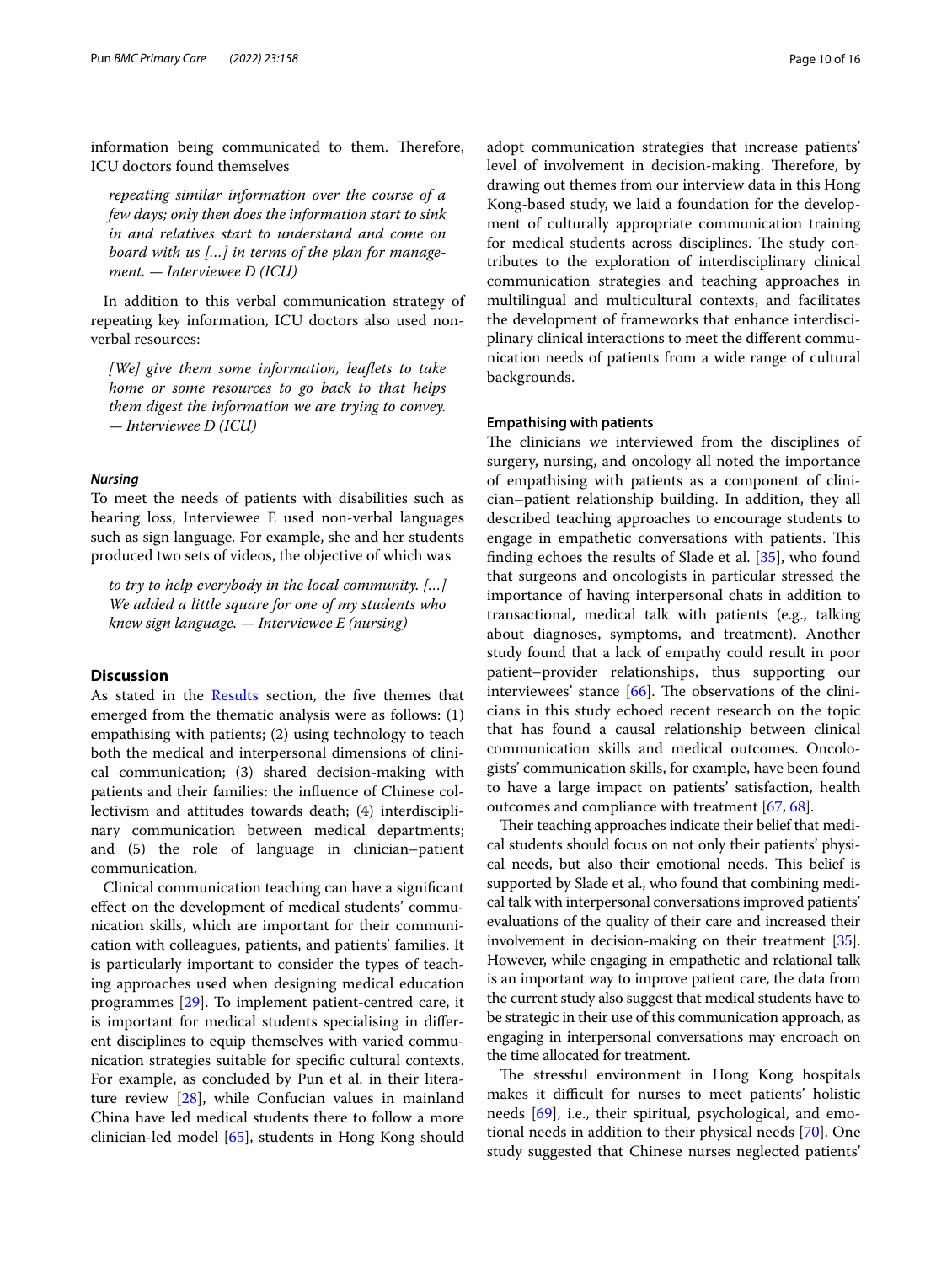information being communicated to them. Therefore, ICU doctors found themselves

*repeating similar information over the course of a few days; only then does the information start to sink in and relatives start to understand and come on board with us […] in terms of the plan for management. — Interviewee D (ICU)*

In addition to this verbal communication strategy of repeating key information, ICU doctors also used nonverbal resources:

*[We] give them some information, leafets to take home or some resources to go back to that helps them digest the information we are trying to convey. — Interviewee D (ICU)*

#### *Nursing*

To meet the needs of patients with disabilities such as hearing loss, Interviewee E used non-verbal languages such as sign language. For example, she and her students produced two sets of videos, the objective of which was

*to try to help everybody in the local community. […] We added a little square for one of my students who knew sign language. — Interviewee E (nursing)*

### **Discussion**

As stated in the [Results](#page-5-0) section, the five themes that emerged from the thematic analysis were as follows: (1) empathising with patients; (2) using technology to teach both the medical and interpersonal dimensions of clinical communication; (3) shared decision-making with patients and their families: the infuence of Chinese collectivism and attitudes towards death; (4) interdisciplinary communication between medical departments; and (5) the role of language in clinician–patient communication.

Clinical communication teaching can have a signifcant efect on the development of medical students' communication skills, which are important for their communication with colleagues, patients, and patients' families. It is particularly important to consider the types of teaching approaches used when designing medical education programmes [\[29](#page-14-19)]. To implement patient-centred care, it is important for medical students specialising in diferent disciplines to equip themselves with varied communication strategies suitable for specifc cultural contexts. For example, as concluded by Pun et al. in their literature review [[28\]](#page-14-18), while Confucian values in mainland China have led medical students there to follow a more clinician-led model [\[65](#page-15-15)], students in Hong Kong should adopt communication strategies that increase patients' level of involvement in decision-making. Therefore, by drawing out themes from our interview data in this Hong Kong-based study, we laid a foundation for the development of culturally appropriate communication training for medical students across disciplines. The study contributes to the exploration of interdisciplinary clinical communication strategies and teaching approaches in multilingual and multicultural contexts, and facilitates the development of frameworks that enhance interdisciplinary clinical interactions to meet the diferent communication needs of patients from a wide range of cultural backgrounds.

#### **Empathising with patients**

The clinicians we interviewed from the disciplines of surgery, nursing, and oncology all noted the importance of empathising with patients as a component of clinician–patient relationship building. In addition, they all described teaching approaches to encourage students to engage in empathetic conversations with patients. This fnding echoes the results of Slade et al. [[35\]](#page-14-25), who found that surgeons and oncologists in particular stressed the importance of having interpersonal chats in addition to transactional, medical talk with patients (e.g., talking about diagnoses, symptoms, and treatment). Another study found that a lack of empathy could result in poor patient–provider relationships, thus supporting our interviewees' stance  $[66]$  $[66]$ . The observations of the clinicians in this study echoed recent research on the topic that has found a causal relationship between clinical communication skills and medical outcomes. Oncologists' communication skills, for example, have been found to have a large impact on patients' satisfaction, health outcomes and compliance with treatment [[67,](#page-15-17) [68](#page-15-18)].

Their teaching approaches indicate their belief that medical students should focus on not only their patients' physical needs, but also their emotional needs. This belief is supported by Slade et al., who found that combining medical talk with interpersonal conversations improved patients' evaluations of the quality of their care and increased their involvement in decision-making on their treatment [[35](#page-14-25)]. However, while engaging in empathetic and relational talk is an important way to improve patient care, the data from the current study also suggest that medical students have to be strategic in their use of this communication approach, as engaging in interpersonal conversations may encroach on the time allocated for treatment.

The stressful environment in Hong Kong hospitals makes it difficult for nurses to meet patients' holistic needs [[69\]](#page-15-19), i.e., their spiritual, psychological, and emotional needs in addition to their physical needs [\[70\]](#page-15-20). One study suggested that Chinese nurses neglected patients'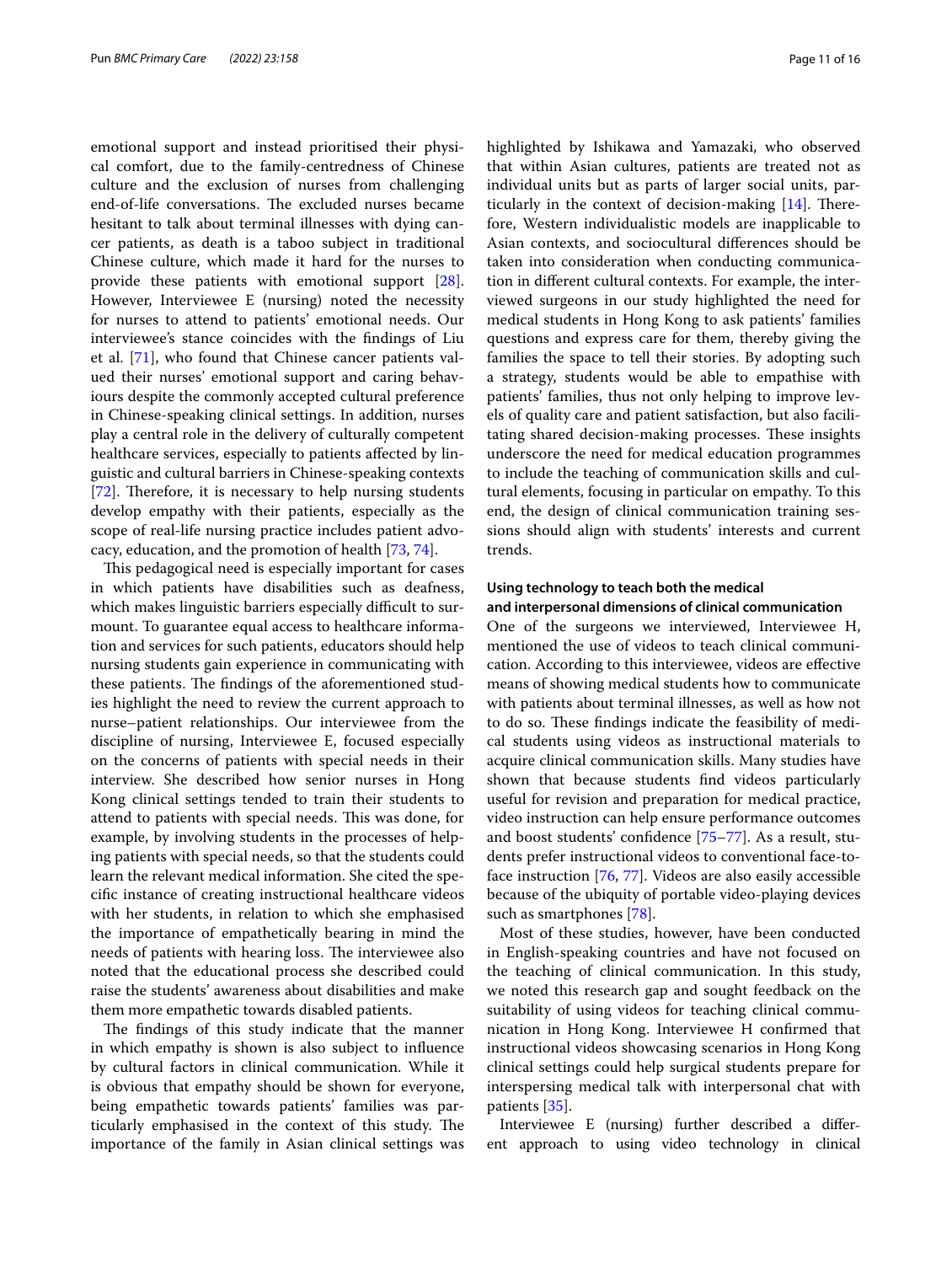emotional support and instead prioritised their physical comfort, due to the family-centredness of Chinese culture and the exclusion of nurses from challenging end-of-life conversations. The excluded nurses became hesitant to talk about terminal illnesses with dying cancer patients, as death is a taboo subject in traditional Chinese culture, which made it hard for the nurses to provide these patients with emotional support [\[28](#page-14-18)]. However, Interviewee E (nursing) noted the necessity for nurses to attend to patients' emotional needs. Our interviewee's stance coincides with the fndings of Liu et al. [\[71\]](#page-15-21), who found that Chinese cancer patients valued their nurses' emotional support and caring behaviours despite the commonly accepted cultural preference in Chinese-speaking clinical settings. In addition, nurses play a central role in the delivery of culturally competent healthcare services, especially to patients affected by linguistic and cultural barriers in Chinese-speaking contexts [[72\]](#page-15-22). Therefore, it is necessary to help nursing students develop empathy with their patients, especially as the scope of real-life nursing practice includes patient advocacy, education, and the promotion of health [[73](#page-15-23), [74\]](#page-15-24).

This pedagogical need is especially important for cases in which patients have disabilities such as deafness, which makes linguistic barriers especially difficult to surmount. To guarantee equal access to healthcare information and services for such patients, educators should help nursing students gain experience in communicating with these patients. The findings of the aforementioned studies highlight the need to review the current approach to nurse–patient relationships. Our interviewee from the discipline of nursing, Interviewee E, focused especially on the concerns of patients with special needs in their interview. She described how senior nurses in Hong Kong clinical settings tended to train their students to attend to patients with special needs. This was done, for example, by involving students in the processes of helping patients with special needs, so that the students could learn the relevant medical information. She cited the specifc instance of creating instructional healthcare videos with her students, in relation to which she emphasised the importance of empathetically bearing in mind the needs of patients with hearing loss. The interviewee also noted that the educational process she described could raise the students' awareness about disabilities and make them more empathetic towards disabled patients.

The findings of this study indicate that the manner in which empathy is shown is also subject to infuence by cultural factors in clinical communication. While it is obvious that empathy should be shown for everyone, being empathetic towards patients' families was particularly emphasised in the context of this study. The importance of the family in Asian clinical settings was highlighted by Ishikawa and Yamazaki, who observed that within Asian cultures, patients are treated not as individual units but as parts of larger social units, particularly in the context of decision-making  $[14]$  $[14]$ . Therefore, Western individualistic models are inapplicable to Asian contexts, and sociocultural diferences should be taken into consideration when conducting communication in diferent cultural contexts. For example, the interviewed surgeons in our study highlighted the need for medical students in Hong Kong to ask patients' families questions and express care for them, thereby giving the families the space to tell their stories. By adopting such a strategy, students would be able to empathise with patients' families, thus not only helping to improve levels of quality care and patient satisfaction, but also facilitating shared decision-making processes. These insights underscore the need for medical education programmes to include the teaching of communication skills and cultural elements, focusing in particular on empathy. To this end, the design of clinical communication training sessions should align with students' interests and current trends.

# **Using technology to teach both the medical and interpersonal dimensions of clinical communication**

One of the surgeons we interviewed, Interviewee H, mentioned the use of videos to teach clinical communication. According to this interviewee, videos are efective means of showing medical students how to communicate with patients about terminal illnesses, as well as how not to do so. These findings indicate the feasibility of medical students using videos as instructional materials to acquire clinical communication skills. Many studies have shown that because students fnd videos particularly useful for revision and preparation for medical practice, video instruction can help ensure performance outcomes and boost students' confdence [[75–](#page-15-25)[77](#page-15-26)]. As a result, students prefer instructional videos to conventional face-toface instruction [\[76,](#page-15-27) [77\]](#page-15-26). Videos are also easily accessible because of the ubiquity of portable video-playing devices such as smartphones [\[78](#page-15-28)].

Most of these studies, however, have been conducted in English-speaking countries and have not focused on the teaching of clinical communication. In this study, we noted this research gap and sought feedback on the suitability of using videos for teaching clinical communication in Hong Kong. Interviewee H confrmed that instructional videos showcasing scenarios in Hong Kong clinical settings could help surgical students prepare for interspersing medical talk with interpersonal chat with patients [[35\]](#page-14-25).

Interviewee E (nursing) further described a diferent approach to using video technology in clinical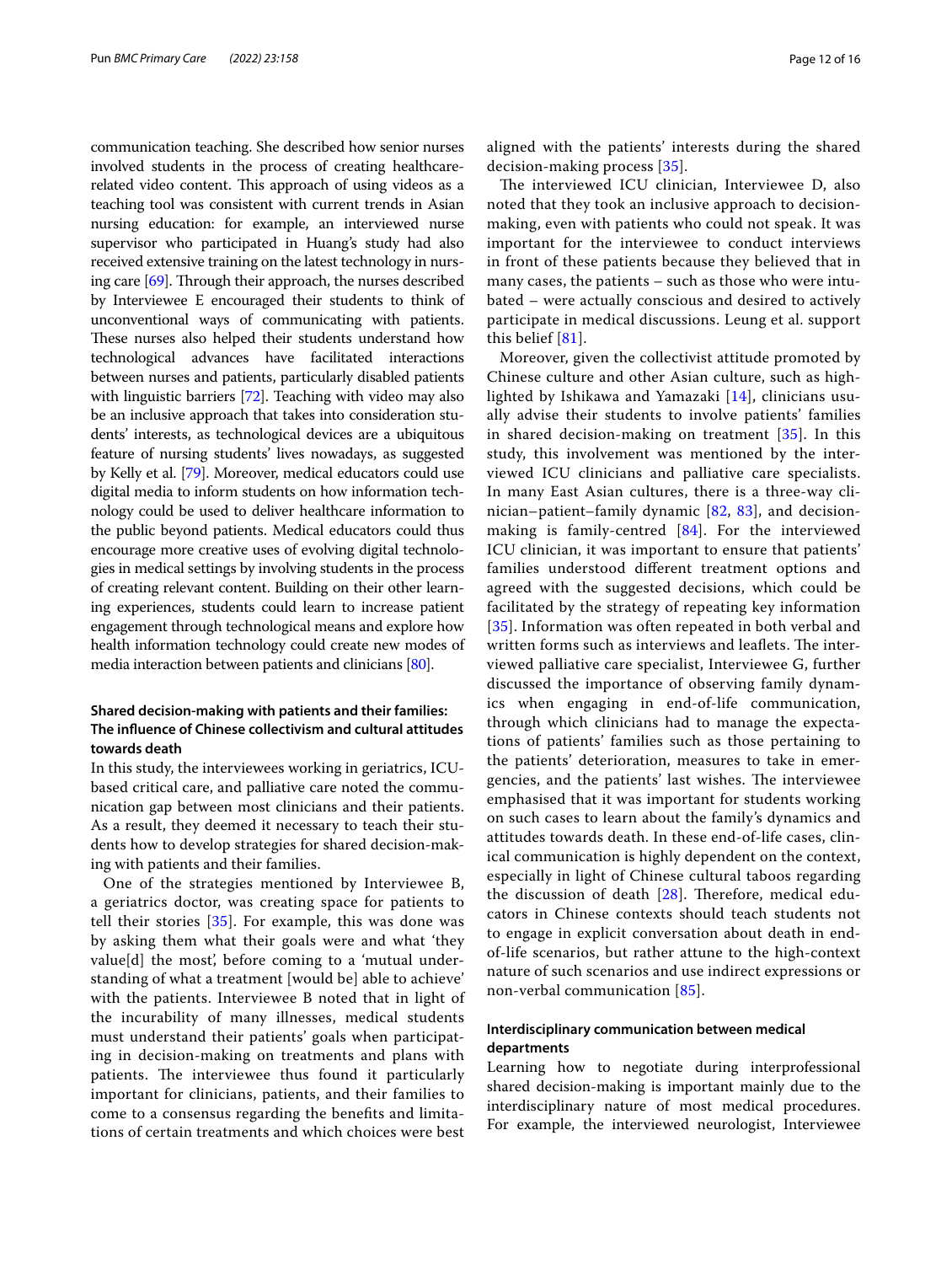communication teaching. She described how senior nurses involved students in the process of creating healthcarerelated video content. This approach of using videos as a teaching tool was consistent with current trends in Asian nursing education: for example, an interviewed nurse supervisor who participated in Huang's study had also received extensive training on the latest technology in nursing care  $[69]$ . Through their approach, the nurses described by Interviewee E encouraged their students to think of unconventional ways of communicating with patients. These nurses also helped their students understand how technological advances have facilitated interactions between nurses and patients, particularly disabled patients with linguistic barriers [\[72\]](#page-15-22). Teaching with video may also be an inclusive approach that takes into consideration students' interests, as technological devices are a ubiquitous feature of nursing students' lives nowadays, as suggested by Kelly et al. [\[79\]](#page-15-29). Moreover, medical educators could use digital media to inform students on how information technology could be used to deliver healthcare information to the public beyond patients. Medical educators could thus encourage more creative uses of evolving digital technologies in medical settings by involving students in the process of creating relevant content. Building on their other learning experiences, students could learn to increase patient engagement through technological means and explore how health information technology could create new modes of media interaction between patients and clinicians [\[80\]](#page-15-30).

# **Shared decision‑making with patients and their families: The infuence of Chinese collectivism and cultural attitudes towards death**

In this study, the interviewees working in geriatrics, ICUbased critical care, and palliative care noted the communication gap between most clinicians and their patients. As a result, they deemed it necessary to teach their students how to develop strategies for shared decision-making with patients and their families.

One of the strategies mentioned by Interviewee B, a geriatrics doctor, was creating space for patients to tell their stories [[35\]](#page-14-25). For example, this was done was by asking them what their goals were and what 'they value[d] the most', before coming to a 'mutual understanding of what a treatment [would be] able to achieve' with the patients. Interviewee B noted that in light of the incurability of many illnesses, medical students must understand their patients' goals when participating in decision-making on treatments and plans with patients. The interviewee thus found it particularly important for clinicians, patients, and their families to come to a consensus regarding the benefts and limitations of certain treatments and which choices were best aligned with the patients' interests during the shared decision-making process [[35\]](#page-14-25).

The interviewed ICU clinician, Interviewee D, also noted that they took an inclusive approach to decisionmaking, even with patients who could not speak. It was important for the interviewee to conduct interviews in front of these patients because they believed that in many cases, the patients – such as those who were intubated – were actually conscious and desired to actively participate in medical discussions. Leung et al. support this belief [[81\]](#page-15-31).

Moreover, given the collectivist attitude promoted by Chinese culture and other Asian culture, such as highlighted by Ishikawa and Yamazaki [\[14\]](#page-14-7), clinicians usually advise their students to involve patients' families in shared decision-making on treatment [\[35](#page-14-25)]. In this study, this involvement was mentioned by the interviewed ICU clinicians and palliative care specialists. In many East Asian cultures, there is a three-way clinician–patient–family dynamic [[82](#page-15-32), [83](#page-15-33)], and decisionmaking is family-centred [[84\]](#page-15-34). For the interviewed ICU clinician, it was important to ensure that patients' families understood diferent treatment options and agreed with the suggested decisions, which could be facilitated by the strategy of repeating key information [[35](#page-14-25)]. Information was often repeated in both verbal and written forms such as interviews and leaflets. The interviewed palliative care specialist, Interviewee G, further discussed the importance of observing family dynamics when engaging in end-of-life communication, through which clinicians had to manage the expectations of patients' families such as those pertaining to the patients' deterioration, measures to take in emergencies, and the patients' last wishes. The interviewee emphasised that it was important for students working on such cases to learn about the family's dynamics and attitudes towards death. In these end-of-life cases, clinical communication is highly dependent on the context, especially in light of Chinese cultural taboos regarding the discussion of death  $[28]$  $[28]$ . Therefore, medical educators in Chinese contexts should teach students not to engage in explicit conversation about death in endof-life scenarios, but rather attune to the high-context nature of such scenarios and use indirect expressions or non-verbal communication [\[85\]](#page-15-35).

# **Interdisciplinary communication between medical departments**

Learning how to negotiate during interprofessional shared decision-making is important mainly due to the interdisciplinary nature of most medical procedures. For example, the interviewed neurologist, Interviewee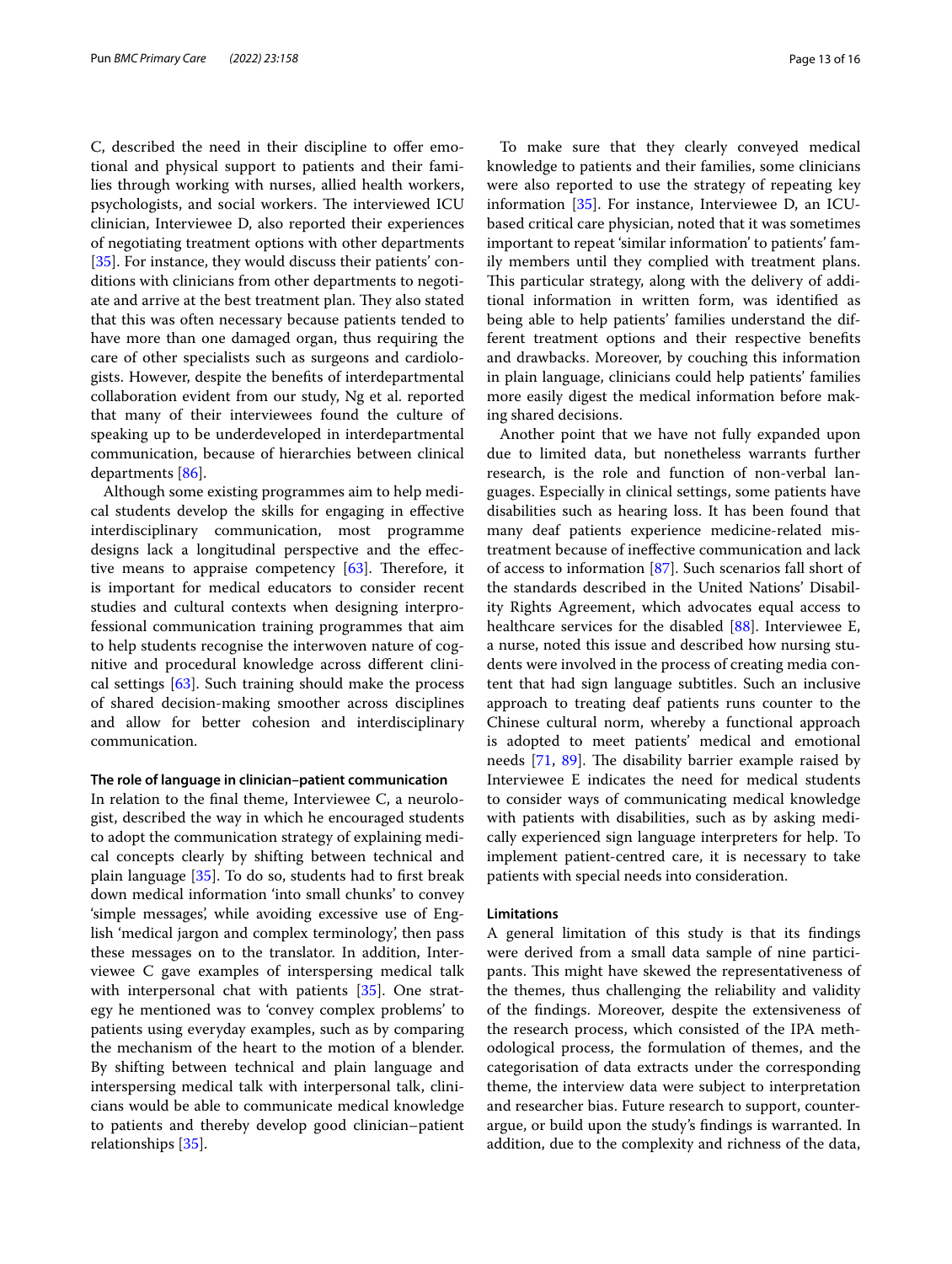C, described the need in their discipline to offer emotional and physical support to patients and their families through working with nurses, allied health workers, psychologists, and social workers. The interviewed ICU clinician, Interviewee D, also reported their experiences of negotiating treatment options with other departments [[35\]](#page-14-25). For instance, they would discuss their patients' conditions with clinicians from other departments to negotiate and arrive at the best treatment plan. They also stated that this was often necessary because patients tended to have more than one damaged organ, thus requiring the care of other specialists such as surgeons and cardiologists. However, despite the benefts of interdepartmental collaboration evident from our study, Ng et al. reported that many of their interviewees found the culture of speaking up to be underdeveloped in interdepartmental communication, because of hierarchies between clinical departments [\[86\]](#page-15-36).

Although some existing programmes aim to help medical students develop the skills for engaging in efective interdisciplinary communication, most programme designs lack a longitudinal perspective and the efective means to appraise competency  $[63]$  $[63]$ . Therefore, it is important for medical educators to consider recent studies and cultural contexts when designing interprofessional communication training programmes that aim to help students recognise the interwoven nature of cognitive and procedural knowledge across diferent clinical settings [[63](#page-15-13)]. Such training should make the process of shared decision-making smoother across disciplines and allow for better cohesion and interdisciplinary communication.

#### **The role of language in clinician–patient communication**

In relation to the fnal theme, Interviewee C, a neurologist, described the way in which he encouraged students to adopt the communication strategy of explaining medical concepts clearly by shifting between technical and plain language [\[35](#page-14-25)]. To do so, students had to frst break down medical information 'into small chunks' to convey 'simple messages', while avoiding excessive use of English 'medical jargon and complex terminology', then pass these messages on to the translator. In addition, Interviewee C gave examples of interspersing medical talk with interpersonal chat with patients [[35\]](#page-14-25). One strategy he mentioned was to 'convey complex problems' to patients using everyday examples, such as by comparing the mechanism of the heart to the motion of a blender. By shifting between technical and plain language and interspersing medical talk with interpersonal talk, clinicians would be able to communicate medical knowledge to patients and thereby develop good clinician–patient relationships [[35](#page-14-25)].

To make sure that they clearly conveyed medical knowledge to patients and their families, some clinicians were also reported to use the strategy of repeating key information [[35\]](#page-14-25). For instance, Interviewee D, an ICUbased critical care physician, noted that it was sometimes important to repeat 'similar information' to patients' family members until they complied with treatment plans. This particular strategy, along with the delivery of additional information in written form, was identifed as being able to help patients' families understand the different treatment options and their respective benefts and drawbacks. Moreover, by couching this information in plain language, clinicians could help patients' families more easily digest the medical information before making shared decisions.

Another point that we have not fully expanded upon due to limited data, but nonetheless warrants further research, is the role and function of non-verbal languages. Especially in clinical settings, some patients have disabilities such as hearing loss. It has been found that many deaf patients experience medicine-related mistreatment because of inefective communication and lack of access to information [[87](#page-15-37)]. Such scenarios fall short of the standards described in the United Nations' Disability Rights Agreement, which advocates equal access to healthcare services for the disabled [[88\]](#page-15-38). Interviewee E, a nurse, noted this issue and described how nursing students were involved in the process of creating media content that had sign language subtitles. Such an inclusive approach to treating deaf patients runs counter to the Chinese cultural norm, whereby a functional approach is adopted to meet patients' medical and emotional needs  $[71, 89]$  $[71, 89]$  $[71, 89]$  $[71, 89]$  $[71, 89]$ . The disability barrier example raised by Interviewee E indicates the need for medical students to consider ways of communicating medical knowledge with patients with disabilities, such as by asking medically experienced sign language interpreters for help. To implement patient-centred care, it is necessary to take patients with special needs into consideration.

### **Limitations**

A general limitation of this study is that its fndings were derived from a small data sample of nine participants. This might have skewed the representativeness of the themes, thus challenging the reliability and validity of the fndings. Moreover, despite the extensiveness of the research process, which consisted of the IPA methodological process, the formulation of themes, and the categorisation of data extracts under the corresponding theme, the interview data were subject to interpretation and researcher bias. Future research to support, counterargue, or build upon the study's fndings is warranted. In addition, due to the complexity and richness of the data,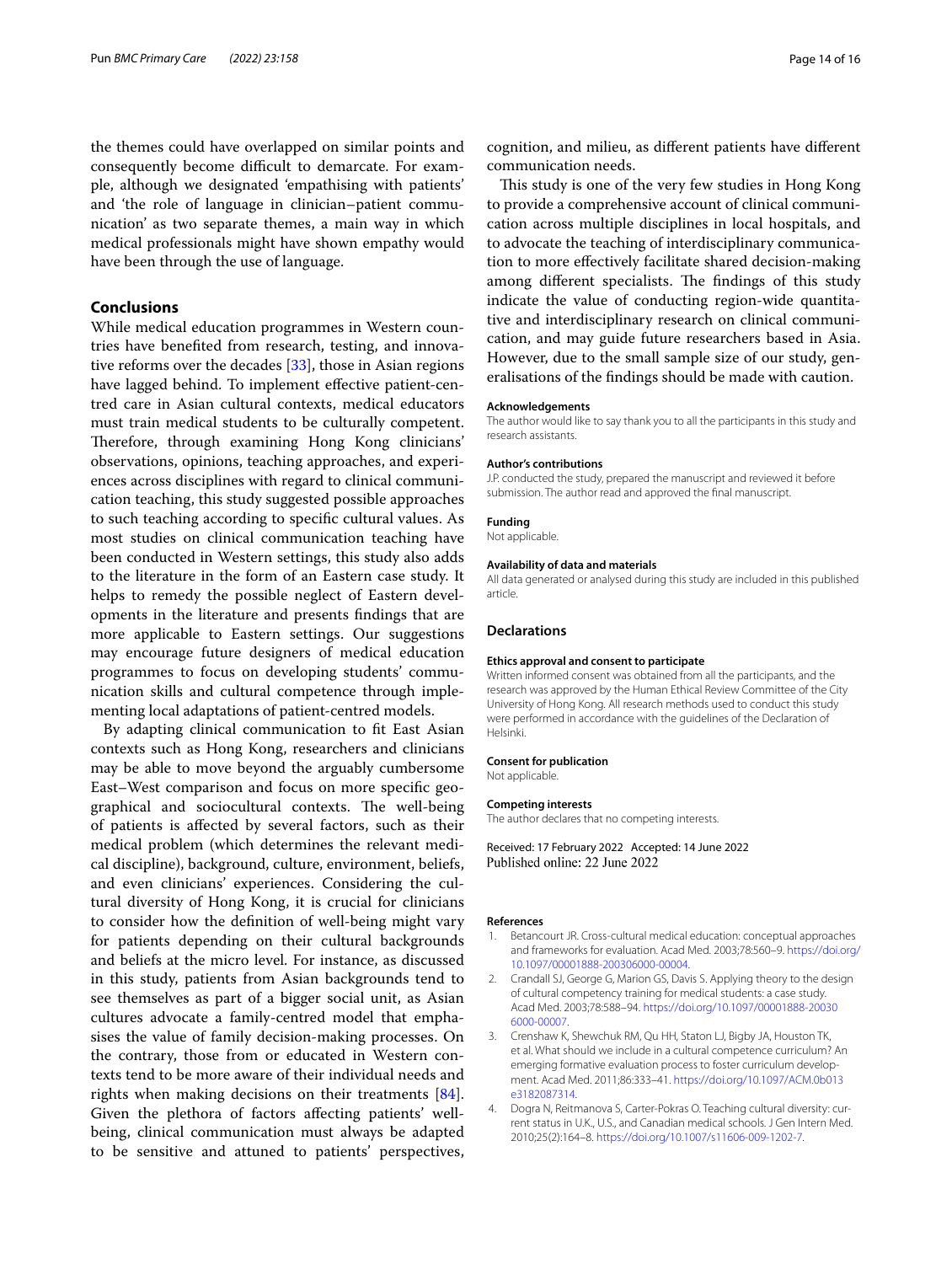the themes could have overlapped on similar points and consequently become difficult to demarcate. For example, although we designated 'empathising with patients' and 'the role of language in clinician–patient communication' as two separate themes, a main way in which medical professionals might have shown empathy would have been through the use of language.

# **Conclusions**

While medical education programmes in Western countries have benefted from research, testing, and innovative reforms over the decades [\[33\]](#page-14-23), those in Asian regions have lagged behind. To implement efective patient-centred care in Asian cultural contexts, medical educators must train medical students to be culturally competent. Therefore, through examining Hong Kong clinicians' observations, opinions, teaching approaches, and experiences across disciplines with regard to clinical communication teaching, this study suggested possible approaches to such teaching according to specifc cultural values. As most studies on clinical communication teaching have been conducted in Western settings, this study also adds to the literature in the form of an Eastern case study. It helps to remedy the possible neglect of Eastern developments in the literature and presents fndings that are more applicable to Eastern settings. Our suggestions may encourage future designers of medical education programmes to focus on developing students' communication skills and cultural competence through implementing local adaptations of patient-centred models.

By adapting clinical communication to ft East Asian contexts such as Hong Kong, researchers and clinicians may be able to move beyond the arguably cumbersome East–West comparison and focus on more specifc geographical and sociocultural contexts. The well-being of patients is afected by several factors, such as their medical problem (which determines the relevant medical discipline), background, culture, environment, beliefs, and even clinicians' experiences. Considering the cultural diversity of Hong Kong, it is crucial for clinicians to consider how the defnition of well-being might vary for patients depending on their cultural backgrounds and beliefs at the micro level. For instance, as discussed in this study, patients from Asian backgrounds tend to see themselves as part of a bigger social unit, as Asian cultures advocate a family-centred model that emphasises the value of family decision-making processes. On the contrary, those from or educated in Western contexts tend to be more aware of their individual needs and rights when making decisions on their treatments [\[84](#page-15-34)]. Given the plethora of factors afecting patients' wellbeing, clinical communication must always be adapted to be sensitive and attuned to patients' perspectives,

cognition, and milieu, as diferent patients have diferent communication needs.

This study is one of the very few studies in Hong Kong to provide a comprehensive account of clinical communication across multiple disciplines in local hospitals, and to advocate the teaching of interdisciplinary communication to more efectively facilitate shared decision-making among different specialists. The findings of this study indicate the value of conducting region-wide quantitative and interdisciplinary research on clinical communication, and may guide future researchers based in Asia. However, due to the small sample size of our study, generalisations of the fndings should be made with caution.

#### **Acknowledgements**

The author would like to say thank you to all the participants in this study and research assistants.

#### **Author's contributions**

J.P. conducted the study, prepared the manuscript and reviewed it before submission. The author read and approved the fnal manuscript.

#### **Funding**

Not applicable.

### **Availability of data and materials**

All data generated or analysed during this study are included in this published article.

#### **Declarations**

#### **Ethics approval and consent to participate**

Written informed consent was obtained from all the participants, and the research was approved by the Human Ethical Review Committee of the City University of Hong Kong. All research methods used to conduct this study were performed in accordance with the guidelines of the Declaration of Helsinki.

#### **Consent for publication**

Not applicable.

#### **Competing interests**

The author declares that no competing interests.

Received: 17 February 2022 Accepted: 14 June 2022 Published online: 22 June 2022

#### **References**

- <span id="page-13-0"></span>1. Betancourt JR. Cross-cultural medical education: conceptual approaches and frameworks for evaluation. Acad Med. 2003;78:560–9. [https://doi.org/](https://doi.org/10.1097/00001888-200306000-00004) [10.1097/00001888-200306000-00004.](https://doi.org/10.1097/00001888-200306000-00004)
- 2. Crandall SJ, George G, Marion GS, Davis S. Applying theory to the design of cultural competency training for medical students: a case study. Acad Med. 2003;78:588–94. [https://doi.org/10.1097/00001888-20030](https://doi.org/10.1097/00001888-200306000-00007) [6000-00007.](https://doi.org/10.1097/00001888-200306000-00007)
- 3. Crenshaw K, Shewchuk RM, Qu HH, Staton LJ, Bigby JA, Houston TK, et al. What should we include in a cultural competence curriculum? An emerging formative evaluation process to foster curriculum development. Acad Med. 2011;86:333–41. [https://doi.org/10.1097/ACM.0b013](https://doi.org/10.1097/ACM.0b013e3182087314) [e3182087314.](https://doi.org/10.1097/ACM.0b013e3182087314)
- 4. Dogra N, Reitmanova S, Carter-Pokras O. Teaching cultural diversity: current status in U.K., U.S., and Canadian medical schools. J Gen Intern Med. 2010;25(2):164–8.<https://doi.org/10.1007/s11606-009-1202-7>.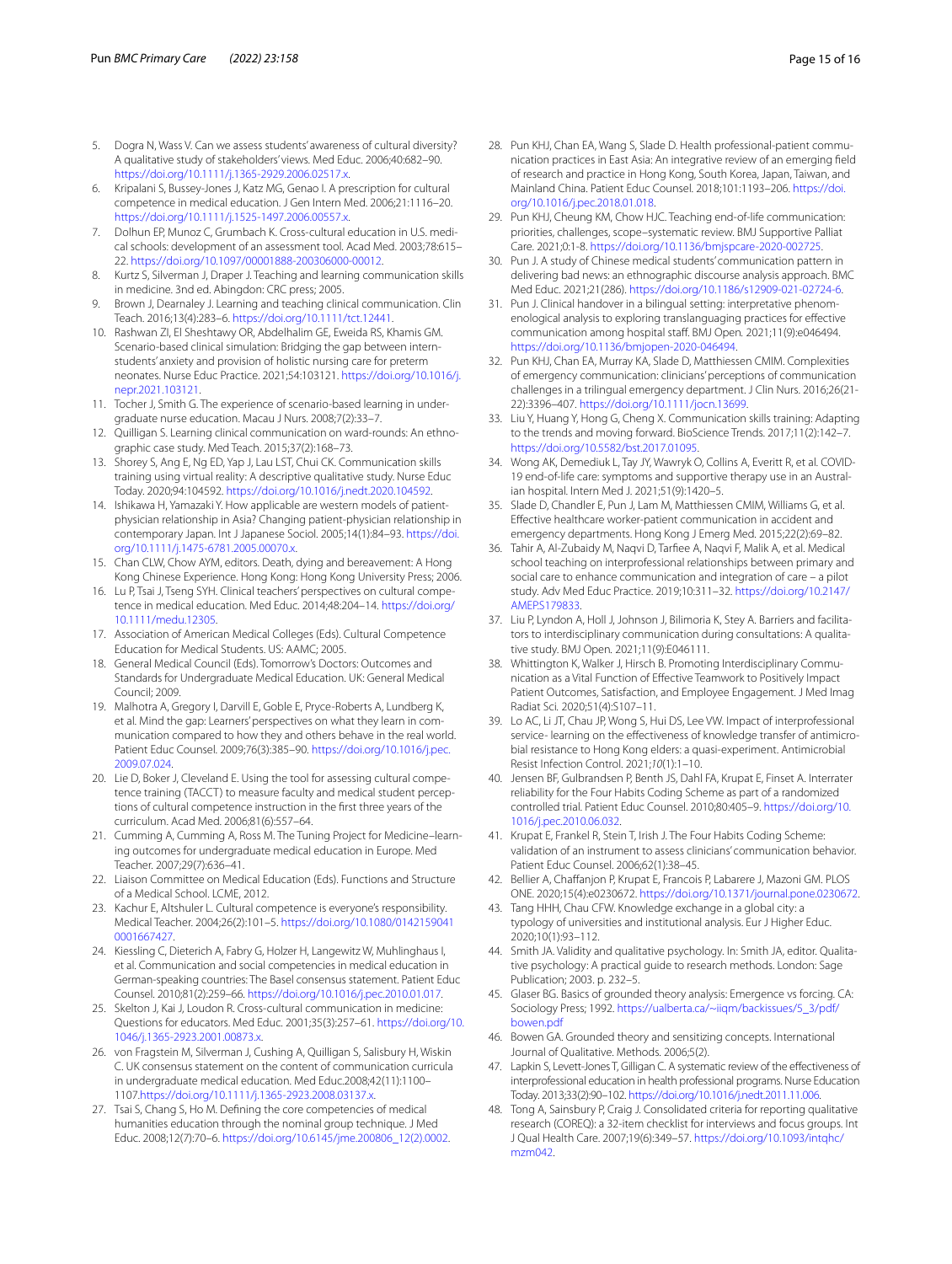- 5. Dogra N, Wass V. Can we assess students' awareness of cultural diversity? A qualitative study of stakeholders' views. Med Educ. 2006;40:682–90. [https://doi.org/10.1111/j.1365-2929.2006.02517.x.](https://doi.org/10.1111/j.1365-2929.2006.02517.x)
- 6. Kripalani S, Bussey-Jones J, Katz MG, Genao I. A prescription for cultural competence in medical education. J Gen Intern Med. 2006;21:1116–20. [https://doi.org/10.1111/j.1525-1497.2006.00557.x.](https://doi.org/10.1111/j.1525-1497.2006.00557.x)
- <span id="page-14-0"></span>7. Dolhun EP, Munoz C, Grumbach K. Cross-cultural education in U.S. medical schools: development of an assessment tool. Acad Med. 2003;78:615– 22. [https://doi.org/10.1097/00001888-200306000-00012.](https://doi.org/10.1097/00001888-200306000-00012)
- <span id="page-14-1"></span>8. Kurtz S, Silverman J, Draper J. Teaching and learning communication skills in medicine. 3nd ed. Abingdon: CRC press; 2005.
- <span id="page-14-2"></span>9. Brown J, Dearnaley J. Learning and teaching clinical communication. Clin Teach. 2016;13(4):283–6. <https://doi.org/10.1111/tct.12441>.
- <span id="page-14-3"></span>10. Rashwan ZI, El Sheshtawy OR, Abdelhalim GE, Eweida RS, Khamis GM. Scenario-based clinical simulation: Bridging the gap between internstudents' anxiety and provision of holistic nursing care for preterm neonates. Nurse Educ Practice. 2021;54:103121. [https://doi.org/10.1016/j.](https://doi.org/10.1016/j.nepr.2021.103121) [nepr.2021.103121.](https://doi.org/10.1016/j.nepr.2021.103121)
- <span id="page-14-4"></span>11. Tocher J, Smith G. The experience of scenario-based learning in undergraduate nurse education. Macau J Nurs. 2008;7(2):33–7.
- <span id="page-14-5"></span>12. Quilligan S. Learning clinical communication on ward-rounds: An ethnographic case study. Med Teach. 2015;37(2):168–73.
- <span id="page-14-6"></span>13. Shorey S, Ang E, Ng ED, Yap J, Lau LST, Chui CK. Communication skills training using virtual reality: A descriptive qualitative study. Nurse Educ Today. 2020;94:104592. [https://doi.org/10.1016/j.nedt.2020.104592.](https://doi.org/10.1016/j.nedt.2020.104592)
- <span id="page-14-7"></span>14. Ishikawa H, Yamazaki Y. How applicable are western models of patientphysician relationship in Asia? Changing patient-physician relationship in contemporary Japan. Int J Japanese Sociol. 2005;14(1):84–93. [https://doi.](https://doi.org/10.1111/j.1475-6781.2005.00070.x) [org/10.1111/j.1475-6781.2005.00070.x.](https://doi.org/10.1111/j.1475-6781.2005.00070.x)
- <span id="page-14-8"></span>15. Chan CLW, Chow AYM, editors. Death, dying and bereavement: A Hong Kong Chinese Experience. Hong Kong: Hong Kong University Press; 2006.
- <span id="page-14-9"></span>16. Lu P, Tsai J, Tseng SYH. Clinical teachers' perspectives on cultural competence in medical education. Med Educ. 2014;48:204–14. [https://doi.org/](https://doi.org/10.1111/medu.12305) [10.1111/medu.12305.](https://doi.org/10.1111/medu.12305)
- <span id="page-14-10"></span>17. Association of American Medical Colleges (Eds). Cultural Competence Education for Medical Students. US: AAMC; 2005.
- <span id="page-14-11"></span>18. General Medical Council (Eds). Tomorrow's Doctors: Outcomes and Standards for Undergraduate Medical Education. UK: General Medical Council; 2009.
- <span id="page-14-12"></span>19. Malhotra A, Gregory I, Darvill E, Goble E, Pryce-Roberts A, Lundberg K, et al. Mind the gap: Learners' perspectives on what they learn in communication compared to how they and others behave in the real world. Patient Educ Counsel. 2009;76(3):385–90. [https://doi.org/10.1016/j.pec.](https://doi.org/10.1016/j.pec.2009.07.024) [2009.07.024](https://doi.org/10.1016/j.pec.2009.07.024).
- <span id="page-14-13"></span>20. Lie D, Boker J, Cleveland E. Using the tool for assessing cultural competence training (TACCT) to measure faculty and medical student perceptions of cultural competence instruction in the frst three years of the curriculum. Acad Med. 2006;81(6):557–64.
- 21. Cumming A, Cumming A, Ross M. The Tuning Project for Medicine–learning outcomes for undergraduate medical education in Europe. Med Teacher. 2007;29(7):636–41.
- <span id="page-14-14"></span>22. Liaison Committee on Medical Education (Eds). Functions and Structure of a Medical School. LCME, 2012.
- <span id="page-14-15"></span>23. Kachur E, Altshuler L. Cultural competence is everyone's responsibility. Medical Teacher. 2004;26(2):101–5. [https://doi.org/10.1080/0142159041](https://doi.org/10.1080/01421590410001667427) [0001667427](https://doi.org/10.1080/01421590410001667427).
- 24. Kiessling C, Dieterich A, Fabry G, Holzer H, Langewitz W, Muhlinghaus I, et al. Communication and social competencies in medical education in German-speaking countries: The Basel consensus statement. Patient Educ Counsel. 2010;81(2):259–66. [https://doi.org/10.1016/j.pec.2010.01.017.](https://doi.org/10.1016/j.pec.2010.01.017)
- 25. Skelton J, Kai J, Loudon R. Cross-cultural communication in medicine: Questions for educators. Med Educ. 2001;35(3):257–61. [https://doi.org/10.](https://doi.org/10.1046/j.1365-2923.2001.00873.x) [1046/j.1365-2923.2001.00873.x](https://doi.org/10.1046/j.1365-2923.2001.00873.x).
- <span id="page-14-16"></span>26. von Fragstein M, Silverman J, Cushing A, Quilligan S, Salisbury H, Wiskin C. UK consensus statement on the content of communication curricula in undergraduate medical education. Med Educ.2008;42(11):1100– 1107.[https://doi.org/10.1111/j.1365-2923.2008.03137.x.](https://doi.org/10.1111/j.1365-2923.2008.03137.x)
- <span id="page-14-17"></span>27. Tsai S, Chang S, Ho M. Defning the core competencies of medical humanities education through the nominal group technique. J Med Educ. 2008;12(7):70–6. [https://doi.org/10.6145/jme.200806\\_12\(2\).0002](https://doi.org/10.6145/jme.200806_12(2).0002).
- <span id="page-14-18"></span>28. Pun KHJ, Chan EA, Wang S, Slade D. Health professional-patient communication practices in East Asia: An integrative review of an emerging feld of research and practice in Hong Kong, South Korea, Japan, Taiwan, and Mainland China. Patient Educ Counsel. 2018;101:1193–206. [https://doi.](https://doi.org/10.1016/j.pec.2018.01.018) [org/10.1016/j.pec.2018.01.018](https://doi.org/10.1016/j.pec.2018.01.018).
- <span id="page-14-19"></span>29. Pun KHJ, Cheung KM, Chow HJC. Teaching end-of-life communication: priorities, challenges, scope–systematic review. BMJ Supportive Palliat Care. 2021;0:1-8. [https://doi.org/10.1136/bmjspcare-2020-002725.](https://doi.org/10.1136/bmjspcare-2020-002725)
- <span id="page-14-20"></span>30. Pun J. A study of Chinese medical students' communication pattern in delivering bad news: an ethnographic discourse analysis approach. BMC Med Educ. 2021;21(286). <https://doi.org/10.1186/s12909-021-02724-6>.
- <span id="page-14-21"></span>31. Pun J. Clinical handover in a bilingual setting: interpretative phenomenological analysis to exploring translanguaging practices for efective communication among hospital staf. BMJ Open*.* 2021;11(9):e046494. <https://doi.org/10.1136/bmjopen-2020-046494>.
- <span id="page-14-22"></span>32. Pun KHJ, Chan EA, Murray KA, Slade D, Matthiessen CMIM. Complexities of emergency communication: clinicians' perceptions of communication challenges in a trilingual emergency department. J Clin Nurs. 2016;26(21- 22):3396–407. <https://doi.org/10.1111/jocn.13699>.
- <span id="page-14-23"></span>33. Liu Y, Huang Y, Hong G, Cheng X. Communication skills training: Adapting to the trends and moving forward. BioScience Trends. 2017;11(2):142–7. <https://doi.org/10.5582/bst.2017.01095>.
- <span id="page-14-24"></span>34. Wong AK, Demediuk L, Tay JY, Wawryk O, Collins A, Everitt R, et al. COVID-19 end-of-life care: symptoms and supportive therapy use in an Australian hospital. Intern Med J. 2021;51(9):1420–5.
- <span id="page-14-25"></span>35. Slade D, Chandler E, Pun J, Lam M, Matthiessen CMIM, Williams G, et al. Efective healthcare worker-patient communication in accident and emergency departments. Hong Kong J Emerg Med. 2015;22(2):69–82.
- <span id="page-14-26"></span>36. Tahir A, Al-Zubaidy M, Naqvi D, Tarfee A, Naqvi F, Malik A, et al. Medical school teaching on interprofessional relationships between primary and social care to enhance communication and integration of care – a pilot study. Adv Med Educ Practice. 2019;10:311–32. [https://doi.org/10.2147/](https://doi.org/10.2147/AMEP.S179833) [AMEP.S179833.](https://doi.org/10.2147/AMEP.S179833)
- 37. Liu P, Lyndon A, Holl J, Johnson J, Bilimoria K, Stey A. Barriers and facilitators to interdisciplinary communication during consultations: A qualitative study. BMJ Open*.* 2021;11(9):E046111.
- 38. Whittington K, Walker J, Hirsch B. Promoting Interdisciplinary Communication as a Vital Function of Efective Teamwork to Positively Impact Patient Outcomes, Satisfaction, and Employee Engagement. J Med Imag Radiat Sci*.* 2020;51(4):S107–11.
- <span id="page-14-27"></span>39. Lo AC, Li JT, Chau JP, Wong S, Hui DS, Lee VW. Impact of interprofessional service- learning on the effectiveness of knowledge transfer of antimicrobial resistance to Hong Kong elders: a quasi-experiment. Antimicrobial Resist Infection Control. 2021;*10*(1):1–10.
- <span id="page-14-28"></span>40. Jensen BF, Gulbrandsen P, Benth JS, Dahl FA, Krupat E, Finset A. Interrater reliability for the Four Habits Coding Scheme as part of a randomized controlled trial. Patient Educ Counsel. 2010;80:405–9. [https://doi.org/10.](https://doi.org/10.1016/j.pec.2010.06.032) [1016/j.pec.2010.06.032.](https://doi.org/10.1016/j.pec.2010.06.032)
- <span id="page-14-29"></span>41. Krupat E, Frankel R, Stein T, Irish J. The Four Habits Coding Scheme: validation of an instrument to assess clinicians' communication behavior. Patient Educ Counsel. 2006;62(1):38–45.
- <span id="page-14-30"></span>42. Bellier A, Chaffanjon P, Krupat E, Francois P, Labarere J, Mazoni GM. PLOS ONE. 2020;15(4):e0230672. [https://doi.org/10.1371/journal.pone.0230672.](https://doi.org/10.1371/journal.pone.0230672)
- <span id="page-14-31"></span>43. Tang HHH, Chau CFW. Knowledge exchange in a global city: a typology of universities and institutional analysis. Eur J Higher Educ. 2020;10(1):93–112.
- <span id="page-14-32"></span>44. Smith JA. Validity and qualitative psychology. In: Smith JA, editor. Qualitative psychology: A practical guide to research methods. London: Sage Publication; 2003. p. 232–5.
- <span id="page-14-33"></span>45. Glaser BG. Basics of grounded theory analysis: Emergence vs forcing. CA: Sociology Press; 1992. [https://ualberta.ca/~iiqm/backissues/5\\_3/pdf/](https://ualberta.ca/~iiqm/backissues/5_3/pdf/bowen.pdf) [bowen.pdf](https://ualberta.ca/~iiqm/backissues/5_3/pdf/bowen.pdf)
- <span id="page-14-34"></span>46. Bowen GA. Grounded theory and sensitizing concepts. International Journal of Qualitative. Methods. 2006;5(2).
- <span id="page-14-35"></span>47. Lapkin S, Levett-Jones T, Gilligan C. A systematic review of the efectiveness of interprofessional education in health professional programs. Nurse Education Today. 2013;33(2):90–102. [https://doi.org/10.1016/j.nedt.2011.11.006.](https://doi.org/10.1016/j.nedt.2011.11.006)
- <span id="page-14-36"></span>48. Tong A, Sainsbury P, Craig J. Consolidated criteria for reporting qualitative research (COREQ): a 32-item checklist for interviews and focus groups. Int J Qual Health Care. 2007;19(6):349–57. [https://doi.org/10.1093/intqhc/](https://doi.org/10.1093/intqhc/mzm042) [mzm042](https://doi.org/10.1093/intqhc/mzm042).